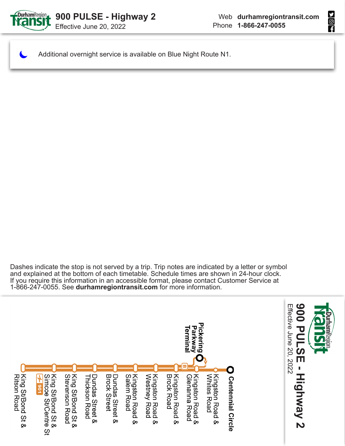

HOLD

Additional overnight service is available on Blue Night Route N1.

Dashes indicate the stop is not served by a trip. Trip notes are indicated by a letter or symbol and explained at the bottom of each timetable. Schedule times are shown in 24-hour clock. If you require this information in an accessible format, please contact Customer Service at 1-866-247-0055. See **durhamregiontransit.com** for more information.

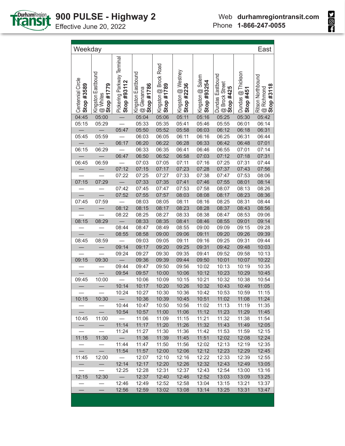

**Sept** 

| Pickering Parkway Terminal<br>Kingston @ Brock Road<br>Kingston @ Westney<br>Kingston Eastbound<br>Dundas @ Thickson<br>Kingston Eastbound<br>Dundas Eastbound<br>Kingston @ Salem<br>Centennial Circle<br>Stop #93254<br>Stop #93112<br><b>@</b> Brock Street<br>Stop #425<br>Stop #1779<br>Stop #1786<br>Stop #2236<br>Stop #3589<br>Stop #1789<br>@ Glenanna<br>Stop #451<br>@ Whites<br>05:25<br>04:45<br>05:04<br>05:06<br>05:16<br>05:30<br>05:00<br>05:11<br>05:15<br>05:33<br>05:41<br>05:55<br>05:29<br>05:35<br>05:46<br>06:01<br>05:47<br>05:50<br>05:52<br>05:58<br>06:03<br>06:12<br>06:18<br>05:45<br>05:59<br>06:03<br>06:05<br>06:16<br>06:25<br>06:31<br>06:11<br>06:17<br>06:20<br>06:22<br>06:28<br>06:33<br>06:42<br>06:48<br>06:15<br>06:29<br>06:35<br>06:33<br>06:41<br>06:46<br>06:55<br>07:01<br>06:47<br>07:12 | Ritson Northbound<br>$\boxed{\textcircled{a}$ Richmond<br>Stop #3118 |
|------------------------------------------------------------------------------------------------------------------------------------------------------------------------------------------------------------------------------------------------------------------------------------------------------------------------------------------------------------------------------------------------------------------------------------------------------------------------------------------------------------------------------------------------------------------------------------------------------------------------------------------------------------------------------------------------------------------------------------------------------------------------------------------------------------------------------------------|----------------------------------------------------------------------|
|                                                                                                                                                                                                                                                                                                                                                                                                                                                                                                                                                                                                                                                                                                                                                                                                                                          |                                                                      |
|                                                                                                                                                                                                                                                                                                                                                                                                                                                                                                                                                                                                                                                                                                                                                                                                                                          | 05:42                                                                |
|                                                                                                                                                                                                                                                                                                                                                                                                                                                                                                                                                                                                                                                                                                                                                                                                                                          | 06:14                                                                |
|                                                                                                                                                                                                                                                                                                                                                                                                                                                                                                                                                                                                                                                                                                                                                                                                                                          | 06:31                                                                |
|                                                                                                                                                                                                                                                                                                                                                                                                                                                                                                                                                                                                                                                                                                                                                                                                                                          | 06:44                                                                |
|                                                                                                                                                                                                                                                                                                                                                                                                                                                                                                                                                                                                                                                                                                                                                                                                                                          | 07:01                                                                |
|                                                                                                                                                                                                                                                                                                                                                                                                                                                                                                                                                                                                                                                                                                                                                                                                                                          | 07:14                                                                |
| 06:50<br>06:52<br>06:58<br>07:18<br>07:03                                                                                                                                                                                                                                                                                                                                                                                                                                                                                                                                                                                                                                                                                                                                                                                                | 07:31                                                                |
| 07:11<br>07:25<br>06:45<br>06:59<br>07:03<br>07:05<br>07:16<br>07:31                                                                                                                                                                                                                                                                                                                                                                                                                                                                                                                                                                                                                                                                                                                                                                     | 07:44                                                                |
| 07:12<br>07:15<br>07:17<br>07:23<br>07:28<br>07:37<br>07:43                                                                                                                                                                                                                                                                                                                                                                                                                                                                                                                                                                                                                                                                                                                                                                              | 07:56                                                                |
| 07:22<br>07:33<br>07:53<br>07:25<br>07:27<br>07:38<br>07:47                                                                                                                                                                                                                                                                                                                                                                                                                                                                                                                                                                                                                                                                                                                                                                              | 08:06                                                                |
| 07:15<br>07:29<br>07:33<br>07:35<br>07:41<br>07:46<br>07:55<br>08:01                                                                                                                                                                                                                                                                                                                                                                                                                                                                                                                                                                                                                                                                                                                                                                     | 08:14                                                                |
| 07:47<br>07:53<br>07:42<br>07:45<br>07:58<br>08:07<br>08:13<br>$\overline{\phantom{0}}$                                                                                                                                                                                                                                                                                                                                                                                                                                                                                                                                                                                                                                                                                                                                                  | 08:26                                                                |
| 07:52<br>07:55<br>07:57<br>08:03<br>08:17<br>08:23<br>08:08<br>07:59<br>08:25<br>08:31                                                                                                                                                                                                                                                                                                                                                                                                                                                                                                                                                                                                                                                                                                                                                   | 08:36<br>08:44                                                       |
| 07:45<br>08:03<br>08:05<br>08:11<br>08:16<br>08:12                                                                                                                                                                                                                                                                                                                                                                                                                                                                                                                                                                                                                                                                                                                                                                                       |                                                                      |
| 08:15<br>08:17<br>08:23<br>08:28<br>08:37<br>08:43<br>08:22<br>08:25<br>08:27<br>08:33<br>08:38<br>08:47<br>08:53                                                                                                                                                                                                                                                                                                                                                                                                                                                                                                                                                                                                                                                                                                                        | 08:56<br>09:06                                                       |
| 08:15<br>08:29<br>08:35<br>08:41<br>08:55<br>08:33<br>08:46<br>09:01<br>$\overline{\phantom{m}}$                                                                                                                                                                                                                                                                                                                                                                                                                                                                                                                                                                                                                                                                                                                                         | 09:14                                                                |
| 08:44<br>08:49<br>08:47<br>08:55<br>09:00<br>09:09<br>09:15                                                                                                                                                                                                                                                                                                                                                                                                                                                                                                                                                                                                                                                                                                                                                                              | 09:28                                                                |
| 08:55<br>08:58<br>09:00<br>09:06<br>09:11<br>09:20<br>09:26                                                                                                                                                                                                                                                                                                                                                                                                                                                                                                                                                                                                                                                                                                                                                                              | 09:39                                                                |
| 08:45<br>08:59<br>09:03<br>09:05<br>09:11<br>09:16<br>09:25<br>09:31                                                                                                                                                                                                                                                                                                                                                                                                                                                                                                                                                                                                                                                                                                                                                                     | 09:44                                                                |
| 09:14<br>09:17<br>09:20<br>09:25<br>09:42<br>09:48<br>09:31                                                                                                                                                                                                                                                                                                                                                                                                                                                                                                                                                                                                                                                                                                                                                                              | 10:03                                                                |
| 09:24<br>09:27<br>09:30<br>09:35<br>09:41<br>09:52<br>09:58                                                                                                                                                                                                                                                                                                                                                                                                                                                                                                                                                                                                                                                                                                                                                                              | 10:13                                                                |
| 09:39<br>09:44<br>10:01<br>10:07<br>09:15<br>09:30<br>09:36<br>09:50                                                                                                                                                                                                                                                                                                                                                                                                                                                                                                                                                                                                                                                                                                                                                                     | 10:22                                                                |
| 09:44<br>09:47<br>09:50<br>09:56<br>10:02<br>10:13<br>10:19                                                                                                                                                                                                                                                                                                                                                                                                                                                                                                                                                                                                                                                                                                                                                                              | 10:35                                                                |
| 09:54<br>10:00<br>10:06<br>10:12<br>10:23<br>10:29<br>09:57                                                                                                                                                                                                                                                                                                                                                                                                                                                                                                                                                                                                                                                                                                                                                                              | 10:45                                                                |
| 10:15<br>10:21<br>10:32<br>10:38<br>09:45<br>10:00<br>10:06<br>10:09                                                                                                                                                                                                                                                                                                                                                                                                                                                                                                                                                                                                                                                                                                                                                                     | 10:54                                                                |
| 10:14<br>10:17<br>10:20<br>10:26<br>10:32<br>10:43<br>10:49                                                                                                                                                                                                                                                                                                                                                                                                                                                                                                                                                                                                                                                                                                                                                                              | 11:05                                                                |
| 10:53<br>10:24<br>10:27<br>10:30<br>10:36<br>10:59<br>10:42                                                                                                                                                                                                                                                                                                                                                                                                                                                                                                                                                                                                                                                                                                                                                                              | 11:15                                                                |
| $\overline{\phantom{0}}$<br>10:36<br>10:39<br>10:51<br>11:02<br>10:15<br>10:30<br>10:45<br>11:08                                                                                                                                                                                                                                                                                                                                                                                                                                                                                                                                                                                                                                                                                                                                         | 11:24                                                                |
| 10:44<br>10:47<br>10:50<br>10:56<br>11:02<br>11:13<br>11:19                                                                                                                                                                                                                                                                                                                                                                                                                                                                                                                                                                                                                                                                                                                                                                              | 11:35                                                                |
| $\overline{\phantom{0}}$<br>$-$<br>10:54<br>10:57<br>11:00<br>11:06<br>11:12<br>11:23<br>11:29                                                                                                                                                                                                                                                                                                                                                                                                                                                                                                                                                                                                                                                                                                                                           | 11:45                                                                |
| 11:00<br>$\overline{\phantom{0}}$<br>11:06<br>11:09<br>11:15<br>11:21<br>11:32<br>11:38<br>10:45                                                                                                                                                                                                                                                                                                                                                                                                                                                                                                                                                                                                                                                                                                                                         | 11:54                                                                |
| $\qquad \qquad -$<br>11:14<br>11:17<br>11:20<br>11:26<br>11:32<br>11:43<br>11:49<br>$\qquad \qquad -$                                                                                                                                                                                                                                                                                                                                                                                                                                                                                                                                                                                                                                                                                                                                    | 12:05                                                                |
| 11:24<br>11:27<br>11:30<br>11:36<br>11:42<br>11:53<br>11:59<br>$\overline{\phantom{0}}$                                                                                                                                                                                                                                                                                                                                                                                                                                                                                                                                                                                                                                                                                                                                                  | 12:15                                                                |
| $\overline{\phantom{0}}$<br>11:15<br>11:36<br>11:39<br>11:45<br>11:51<br>12:02<br>12:08<br>11:30                                                                                                                                                                                                                                                                                                                                                                                                                                                                                                                                                                                                                                                                                                                                         | 12:24                                                                |
| $\overline{\phantom{0}}$<br>11:44<br>11:47<br>11:50<br>11:56<br>12:02<br>12:13<br>12:19<br>$\overline{\phantom{0}}$                                                                                                                                                                                                                                                                                                                                                                                                                                                                                                                                                                                                                                                                                                                      | 12:35                                                                |
| $\equiv$<br>$\overline{\phantom{0}}$<br>11:54<br>11:57<br>12:00<br>12:06<br>12:12<br>12:23<br>12:29                                                                                                                                                                                                                                                                                                                                                                                                                                                                                                                                                                                                                                                                                                                                      | 12:45                                                                |
| $\equiv$<br>11:45<br>12:00<br>12:07<br>12:10<br>12:16<br>12:22<br>12:33<br>12:39                                                                                                                                                                                                                                                                                                                                                                                                                                                                                                                                                                                                                                                                                                                                                         | 12:55                                                                |
| $\qquad \qquad -$<br>12:14<br>12:17<br>12:20<br>12:26<br>12:32<br>12:43<br>12:49                                                                                                                                                                                                                                                                                                                                                                                                                                                                                                                                                                                                                                                                                                                                                         | 13:05                                                                |
| 12:25<br>12:28<br>12:31<br>12:54<br>$\overline{\phantom{0}}$<br>12:37<br>12:43<br>13:00                                                                                                                                                                                                                                                                                                                                                                                                                                                                                                                                                                                                                                                                                                                                                  | 13:16                                                                |
| 12:30<br>12:15<br>$\overline{\phantom{0}}$<br>12:40<br>12:37<br>12:46<br>12:52<br>13:03<br>13:09                                                                                                                                                                                                                                                                                                                                                                                                                                                                                                                                                                                                                                                                                                                                         | 13:25                                                                |
| 12:49<br>$\overline{\phantom{0}}$<br>12:46<br>12:52<br>12:58<br>13:04<br>13:15<br>13:21<br>$\overline{\phantom{0}}$                                                                                                                                                                                                                                                                                                                                                                                                                                                                                                                                                                                                                                                                                                                      | 13:37                                                                |
| 12:56<br>12:59<br>13:02<br>13:14<br>13:25<br>13:31<br>13:08                                                                                                                                                                                                                                                                                                                                                                                                                                                                                                                                                                                                                                                                                                                                                                              | 13:47                                                                |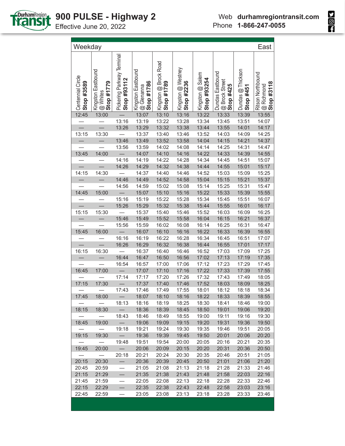

| Weekday                         |                                              |                                                  |                                                |                                     |                                  |                                 |                                                        |                                | East                                                 |
|---------------------------------|----------------------------------------------|--------------------------------------------------|------------------------------------------------|-------------------------------------|----------------------------------|---------------------------------|--------------------------------------------------------|--------------------------------|------------------------------------------------------|
| Centennial Circle<br>Stop #3589 | Kingston Eastbound<br>Stop #1779<br>@ Whites | Pickering Parkway Terminal<br><b>Stop #93112</b> | Kingston Eastbound<br>@ Glenanna<br>Stop #1786 | Kingston @ Brock Road<br>Stop #1789 | Kingston @ Westney<br>Stop #2236 | Kingston @ Salem<br>Stop #93254 | Dundas Eastbound<br><b>@ Brock Street</b><br>Stop #425 | Dundas @ Thickson<br>Stop #451 | Ritson Northbound<br>@ Richmond<br><b>Stop #3118</b> |
| 12:45                           | 13:00                                        |                                                  | 13:07                                          | 13:10                               | 13:16                            | 13:22                           | 13:33                                                  | 13:39                          | 13:55                                                |
|                                 |                                              | 13:16                                            | 13:19                                          | 13:22                               | 13:28                            | 13:34                           | 13:45                                                  | 13:51                          | 14:07                                                |
|                                 |                                              | 13:26                                            | 13:29                                          | 13:32                               | 13:38                            | 13:44                           | 13:55                                                  | 14:01                          | 14:17                                                |
| 13:15                           | 13:30                                        |                                                  | 13:37                                          | 13:40                               | 13:46                            | 13:52                           | 14:03                                                  | 14:09                          | 14:25                                                |
| $\overline{\phantom{0}}$        |                                              | 13:46                                            | 13:49                                          | 13:52                               | 13:58                            | 14:04                           | 14:15                                                  | 14:21                          | 14:37                                                |
|                                 |                                              | 13:56                                            | 13:59                                          | 14:02                               | 14:08                            | 14:14                           | 14:25                                                  | 14:31                          | 14:47                                                |
| 13:45                           | 14:00                                        | $\qquad \qquad -$                                | 14:07                                          | 14:10                               | 14:16                            | 14:22                           | 14:33                                                  | 14:39                          | 14:55                                                |
|                                 |                                              | 14:16                                            | 14:19                                          | 14:22                               | 14:28                            | 14:34                           | 14:45                                                  | 14:51                          | 15:07                                                |
|                                 |                                              | 14:26                                            | 14:29                                          | 14:32                               | 14:38                            | 14:44                           | 14:55                                                  | 15:01                          | 15:17                                                |
| 14:15                           | 14:30                                        |                                                  | 14:37                                          | 14:40                               | 14:46                            | 14:52                           | 15:03                                                  | 15:09                          | 15:25                                                |
|                                 |                                              | 14:46                                            | 14:49                                          | 14:52                               | 14:58                            | 15:04                           | 15:15                                                  | 15:21                          | 15:37                                                |
|                                 |                                              | 14:56                                            | 14:59                                          | 15:02                               | 15:08                            | 15:14                           | 15:25                                                  | 15:31                          | 15:47                                                |
| 14:45                           | 15:00                                        |                                                  | 15:07                                          | 15:10                               | 15:16                            | 15:22                           | 15:33                                                  | 15:39                          | 15:55                                                |
|                                 |                                              | 15:16                                            | 15:19                                          | 15:22                               | 15:28                            | 15:34                           | 15:45                                                  | 15:51                          | 16:07                                                |
| $\overline{\phantom{0}}$        |                                              | 15:26                                            | 15:29                                          | 15:32                               | 15:38                            | 15:44                           | 15:55                                                  | 16:01                          | 16:17                                                |
| 15:15                           | 15:30                                        |                                                  | 15:37                                          | 15:40                               | 15:46                            | 15:52                           | 16:03                                                  | 16:09                          | 16:25                                                |
|                                 |                                              | 15:46                                            | 15:49                                          | 15:52                               | 15:58                            | 16:04                           | 16:15                                                  | 16:21                          | 16:37                                                |
|                                 |                                              | 15:56                                            | 15:59                                          | 16:02                               | 16:08                            | 16:14                           | 16:25                                                  | 16:31                          | 16:47                                                |
| 15:45                           | 16:00                                        | $\overline{\phantom{0}}$                         | 16:07                                          | 16:10                               | 16:16                            | 16:22                           | 16:33                                                  | 16:39                          | 16:55                                                |
|                                 |                                              | 16:16                                            | 16:19                                          | 16:22                               | 16:28                            | 16:34                           | 16:45                                                  | 16:51                          | 17:07                                                |
| $\overline{\phantom{0}}$        |                                              | 16:26                                            | 16:29                                          | 16:32                               | 16:38                            | 16:44                           | 16:55                                                  | 17:01                          | 17:17                                                |
| 16:15                           | 16:30                                        |                                                  | 16:37                                          | 16:40                               | 16:46                            | 16:52                           | 17:03                                                  | 17:09                          | 17:25                                                |
|                                 |                                              | 16:44                                            | 16:47                                          | 16:50                               | 16:56                            | 17:02                           | 17:13                                                  | 17:19                          | 17:35                                                |
|                                 |                                              | 16:54                                            | 16:57                                          | 17:00                               | 17:06                            | 17:12                           | 17:23                                                  | 17:29                          | 17:45                                                |
| 16:45                           | 17:00                                        |                                                  | 17:07                                          | 17:10                               | 17:16                            | 17:22                           | 17:33                                                  | 17:39                          | 17:55                                                |
|                                 |                                              | 17:14                                            | 17:17                                          | 17:20                               | 17:26                            | 17:32                           | 17:43                                                  | 17:49                          | 18:05                                                |
| 17:15                           | 17:30                                        |                                                  | 17:37                                          | 17:40                               | 17:46                            | 17:52                           | 18:03                                                  | 18:09                          | 18:25                                                |
|                                 |                                              | 17:43                                            | 17:46                                          | 17:49                               | 17:55                            | 18:01                           | 18:12                                                  | 18:18                          | 18:34                                                |
| 17:45                           | 18:00                                        |                                                  | 18:07                                          | 18:10                               | 18:16                            | 18:22                           | 18:33                                                  | 18:39                          | 18:55                                                |
|                                 |                                              | 18:13                                            | 18:16                                          | 18:19                               | 18:25                            | 18:30                           | 18:41                                                  | 18:46                          | 19:00                                                |
| 18:15                           | 18:30                                        | $\qquad \qquad -$                                | 18:36                                          | 18:39                               | 18:45                            | 18:50                           | 19:01                                                  | 19:06                          | 19:20                                                |
|                                 |                                              | 18:43                                            | 18:46                                          | 18:49                               | 18:55                            | 19:00                           | 19:11                                                  | 19:16                          | 19:30                                                |
| 18:45                           | 19:00                                        | $\qquad \qquad -$                                | 19:06                                          | 19:09                               | 19:15                            | 19:20                           | 19:31                                                  | 19:36                          | 19:50                                                |
|                                 |                                              | 19:18                                            | 19:21                                          | 19:24                               | 19:30                            | 19:35                           | 19:46                                                  | 19:51                          | 20:05                                                |
| 19:15                           | 19:30                                        |                                                  | 19:36                                          | 19:39                               | 19:45                            | 19:50                           | 20:01                                                  | 20:06                          | 20:20                                                |
|                                 |                                              | 19:48                                            | 19:51                                          | 19:54                               | 20:00                            | 20:05                           | 20:16                                                  | 20:21                          | 20:35                                                |
| 19:45                           | 20:00                                        |                                                  | 20:06                                          | 20:09                               | 20:15                            | 20:20                           | 20:31                                                  | 20:36                          | 20:50                                                |
|                                 |                                              | 20:18                                            | 20:21                                          | 20:24                               | 20:30                            | 20:35                           | 20:46                                                  | 20:51                          | 21:05                                                |
| 20:15                           | 20:30                                        | $\overline{\phantom{0}}$                         | 20:36                                          | 20:39                               | 20:45                            | 20:50                           | 21:01                                                  | 21:06                          | 21:20                                                |
| 20:45                           | 20:59                                        |                                                  | 21:05                                          | 21:08                               | 21:13                            | 21:18                           | 21:28                                                  | 21:33                          | 21:46                                                |
| 21:15                           | 21:29                                        |                                                  | 21:35                                          | 21:38                               | 21:43                            | 21:48                           | 21:58                                                  | 22:03                          | 22:16                                                |
| 21:45                           | 21:59                                        | $\overline{\phantom{0}}$                         | 22:05                                          | 22:08                               | 22:13                            | 22:18                           | 22:28                                                  | 22:33                          | 22:46                                                |
| 22:15                           | 22:29                                        |                                                  | 22:35                                          | 22:38                               | 22:43                            | 22:48                           | 22:58                                                  | 23:03                          | 23:16                                                |
| 22:45                           | 22:59                                        |                                                  | 23:05                                          | 23:08                               | 23:13                            | 23:18                           | 23:28                                                  | 23:33                          | 23:46                                                |

**Sept**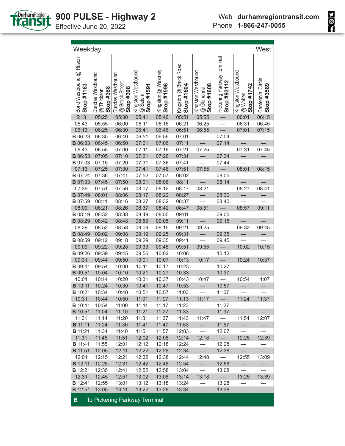

| Weekday                               |                                             |                                                              |                                             |                                  |                                     |                                                             |                                           |                                                | West                            |
|---------------------------------------|---------------------------------------------|--------------------------------------------------------------|---------------------------------------------|----------------------------------|-------------------------------------|-------------------------------------------------------------|-------------------------------------------|------------------------------------------------|---------------------------------|
| Bond Westbound @ Ritson<br>Stop #1163 | Dundas Westbound<br>@ Thickson<br>Stop #388 | , Dundas Westbound<br>  @ Brock Street<br>  <b>Stop #398</b> | Kingston Westbound<br>@ Salem<br>Stop #1591 | Kingston @ Westney<br>Stop #1598 | Kingston @ Brock Road<br>Stop #1604 | , Kingston Westbound<br>1 @ Glenanna<br><b>' Stop #1608</b> | Pickering Parkway Terminal<br>Stop #93112 | Kingston Westbound<br>Stop #1742<br>$@$ Whites | Centennial Circle<br>Stop #3589 |
| 5:13                                  | 05:25                                       | 05:30                                                        | 05:41                                       | 05:46                            | 05:51                               | 05:55                                                       |                                           | 06:01                                          | 06:15                           |
| 05:43                                 | 05:55                                       | 06:00                                                        | 06:11                                       | 06:16                            | 06:21                               | 06:25                                                       |                                           | 06:31                                          | 06:45                           |
| 06:13                                 | 06:25                                       | 06:30                                                        | 06:41                                       | 06:46                            | 06:51                               | 06:55                                                       |                                           | 07:01                                          | 07:15                           |
| <b>B</b> 06:23                        | 06:35                                       | 06:40                                                        | 06:51                                       | 06:56                            | 07:01                               |                                                             | 07:04                                     |                                                |                                 |
| <b>B</b> 06:33                        | 06:45                                       | 06:50                                                        | 07:01                                       | 07:06                            | 07:11                               | $\equiv$                                                    | 07:14                                     | $\qquad \qquad \qquad =\qquad \qquad$          |                                 |
| 06:43                                 | 06:55                                       | 07:00                                                        | 07:11                                       | 07:16                            | 07:21                               | 07:25                                                       | $\frac{1}{2}$                             | 07:31                                          | 07:45                           |
| <b>B</b> 06:53                        | 07:05                                       | 07:10                                                        | 07:21                                       | 07:26                            | 07:31                               |                                                             | 07:34                                     | $\overline{\phantom{0}}$                       |                                 |
| <b>B</b> 07:03                        | 07:15                                       | 07:20                                                        | 07:31                                       | 07:36                            | 07:41                               |                                                             | 07:44                                     |                                                |                                 |
| 07:13                                 | 07:25                                       | 07:30                                                        | 07:41                                       | 07:46                            | 07:51                               | 07:55                                                       | $\overline{\phantom{0}}$                  | 08:01                                          | 08:15                           |
| <b>B</b> 07:24                        | 07:36                                       | 07:41                                                        | 07:52                                       | 07:57                            | 08:02                               |                                                             | 08:05                                     |                                                |                                 |
| <b>B</b> 07:33                        | 07:45                                       | 07:50                                                        | 08:01                                       | 08:06                            | 08:11                               |                                                             | 08:14                                     |                                                |                                 |
| 07:39                                 | 07:51                                       | 07:56                                                        | 08:07                                       | 08:12                            | 08:17                               | 08:21                                                       | $\overline{\phantom{a}}$                  | 08:27                                          | 08:41                           |
| <b>B</b> 07:49                        | 08:01                                       | 08:06                                                        | 08:17                                       | 08:22                            | 08:27                               | $\overline{\phantom{0}}$                                    | 08:30                                     | $\equiv$                                       |                                 |
| <b>B</b> 07:59                        | 08:11                                       | 08:16                                                        | 08:27                                       | 08:32                            | 08:37                               |                                                             | 08:40                                     |                                                |                                 |
| 08:09                                 | 08:21                                       | 08:26                                                        | 08:37                                       | 08:42                            | 08:47                               | 08:51                                                       | $\overline{\phantom{a}}$                  | 08:57                                          | 09:11                           |
| <b>B</b> 08:19                        | 08:32                                       | 08:38                                                        | 08:49                                       | 08:55                            | 09:01                               | $\overline{\phantom{0}}$                                    | 09:05                                     |                                                |                                 |
| <b>B</b> 08:29                        | 08:42                                       | 08:48                                                        | 08:59                                       | 09:05                            | 09:11                               |                                                             | 09:15                                     |                                                |                                 |
| 08:39                                 | 08:52                                       | 08:58                                                        | 09:09                                       | 09:15                            | 09:21                               | 09:25                                                       | $\overline{\phantom{m}}$                  | 09:32                                          | 09:45                           |
| <b>B</b> 08:49                        | 09:02                                       | 09:08                                                        | 09:19                                       | 09:25                            | 09:31                               |                                                             | 09:35                                     |                                                |                                 |
| <b>B</b> 08:59                        | 09:12                                       | 09:18                                                        | 09:29                                       | 09:35                            | 09:41                               |                                                             | 09:45                                     |                                                |                                 |
| 09:09                                 | 09:22                                       | 09:28                                                        | 09:39                                       | 09:45                            | 09:51                               | 09:55                                                       | $\overline{\phantom{0}}$                  | 10:02                                          | 10:15                           |
| <b>B</b> 09:26                        | 09:39                                       | 09:45                                                        | 09:56                                       | 10:02                            | 10:08                               |                                                             | 10:12                                     |                                                |                                 |
| 09:31                                 | 09:44                                       | 09:50                                                        | 10:01                                       | 10:07                            | 10:13                               | 10:17                                                       |                                           | 10:24                                          | 10:37                           |
| <b>B</b> 09:41                        | 09:54                                       | 10:00                                                        | 10:11                                       | 10:17                            | 10:23                               | $\overline{\phantom{0}}$                                    | 10:27                                     |                                                |                                 |
| <b>B</b> 09:51                        | 10:04                                       | 10:10                                                        | 10:21                                       | 10:27                            | 10:33                               |                                                             | 10:37                                     |                                                |                                 |
| 10:01                                 | 10:14                                       | 10:20                                                        | 10:31                                       | 10:37                            | 10:43                               | 10:47                                                       | $\overline{\phantom{0}}$                  | 10:54                                          | 11:07                           |
| <b>B</b> 10:11                        | 10:24                                       | 10:30                                                        | 10:41                                       | 10:47                            | 10:53                               | $\overline{\phantom{0}}$                                    | 10:57                                     |                                                |                                 |
| <b>B</b> 10:21                        | 10:34                                       | 10:40                                                        | 10:51                                       | 10:57                            | 11:03                               |                                                             | 11:07                                     |                                                |                                 |
| 10:31                                 | 10:44                                       | 10:50                                                        | 11:01                                       | 11:07                            | 11:13                               | 11:17                                                       |                                           | 11:24                                          | 11:37                           |
| <b>B</b> 10:41                        | 10:54                                       | 11:00                                                        | 11:11                                       | 11:17                            | 11:23                               | $\overline{\phantom{0}}$                                    | 11:27                                     |                                                |                                 |
| <b>B</b> 10:51                        | 11:04                                       | 11:10                                                        | 11:21                                       | 11:27                            | 11:33                               | $\overline{\phantom{0}}$                                    | 11:37                                     | $\equiv$                                       |                                 |
| 11:01                                 | 11:14                                       | 11:20                                                        | 11:31                                       | 11:37                            | 11:43                               | 11:47                                                       | $\overline{\phantom{0}}$                  | 11:54                                          | 12:07                           |
| <b>B</b> 11:11                        | 11:24                                       | 11:30                                                        | 11:41                                       | 11:47                            | 11:53                               | $-$                                                         | 11:57                                     | $\overline{\phantom{0}}$                       |                                 |
| <b>B</b> 11:21                        | 11:34                                       | 11:40                                                        | 11:51                                       | 11:57                            | 12:03                               | $\overline{\phantom{0}}$                                    | 12:07                                     | $\overbrace{\phantom{12333}}$                  |                                 |
| 11:31                                 | 11:45                                       | 11:51                                                        | 12:02                                       | 12:08                            | 12:14                               | 12:18                                                       | $\sim$                                    | 12:25                                          | 12:39                           |
| <b>B</b> 11:41                        | 11:55                                       | 12:01                                                        | 12:12                                       | 12:18                            | 12:24                               | $\qquad \qquad -$                                           | 12:28                                     | $\overline{\phantom{0}}$                       | $\overline{\phantom{0}}$        |
| <b>B</b> 11:51                        | 12:05                                       | 12:11                                                        | 12:22                                       | 12:28                            | 12:34                               | $\overline{\phantom{0}}$                                    | 12:38                                     | $\equiv$                                       | $\equiv$                        |
| 12:01                                 | 12:15                                       | 12:21                                                        | 12:32                                       | 12:38                            | 12:44                               | 12:48                                                       | $\overline{\phantom{a}}$                  | 12:55                                          | 13:09                           |
| <b>B</b> 12:11                        | 12:25                                       | 12:31                                                        | 12:42                                       | 12:48                            | 12:54                               | $ \,$                                                       | 12:58                                     | $\overline{\phantom{0}}$                       | $\overline{\phantom{0}}$        |
| <b>B</b> 12:21                        | 12:35                                       | 12:41                                                        | 12:52                                       | 12:58                            | 13:04                               | $\overline{\phantom{0}}$                                    | 13:08                                     | $\overline{\phantom{0}}$                       |                                 |
| 12:31                                 | 12:45                                       | 12:51                                                        | 13:02                                       | 13:08                            | 13:14                               | 13:18                                                       | $\overline{\phantom{a}}$                  | 13:25                                          | 13:39                           |
| <b>B</b> 12:41                        | 12:55                                       | 13:01                                                        | 13:12                                       | 13:18                            | 13:24                               |                                                             | 13:28                                     |                                                |                                 |



**B** 12:51 13:05 13:11 13:22 13:28 13:34 — 13:38 — —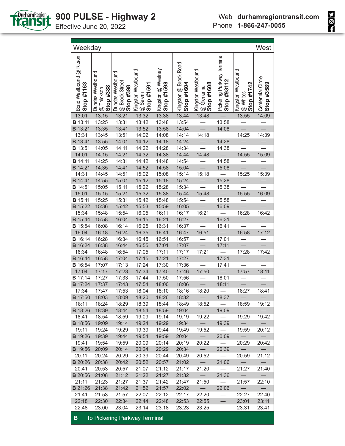

| Bond Westbound @ Ritson<br>Stop #1163 | Dundas Westbound<br>Stop #388<br>@ Thickson | Dundas Westbound<br>@ Brock Street<br>Stop #398 | Kingston Westbound<br>Stop #1591<br>@ Salem | Kingston @ Westney<br>Stop #1598 | Kingston @ Brock Road<br>Stop #1604 | Kingston Westbound<br>Stop #1608<br>@ Glenanna | Pickering Parkway Terminal<br>Stop #93112 | Kingston Westbound<br>Stop #1742<br>@ Whites | Centennial Circle<br>Stop #3589 |
|---------------------------------------|---------------------------------------------|-------------------------------------------------|---------------------------------------------|----------------------------------|-------------------------------------|------------------------------------------------|-------------------------------------------|----------------------------------------------|---------------------------------|
| 13:01                                 | 13:15                                       | 13:21                                           | 13:32                                       | 13:38                            | 13:44                               | 13:48                                          |                                           | 13:55                                        | 14:09                           |
| <b>B</b> 13:11                        | 13:25                                       | 13:31                                           | 13:42                                       | 13:48                            | 13:54                               |                                                | 13:58                                     |                                              |                                 |
| <b>B</b> 13:21                        | 13:35                                       | 13:41                                           | 13:52                                       | 13:58                            | 14:04                               |                                                | 14:08                                     |                                              |                                 |
| 13:31                                 | 13:45                                       | 13:51                                           | 14:02                                       | 14:08                            | 14:14                               | 14:18                                          |                                           | 14:25                                        | 14:39                           |
| <b>B</b> 13:41                        | 13:55                                       | 14:01                                           | 14:12                                       | 14:18                            | 14:24                               |                                                | 14:28                                     |                                              |                                 |
| <b>B</b> 13:51                        | 14:05                                       | 14:11                                           | 14:22                                       | 14:28                            | 14:34                               |                                                | 14:38                                     |                                              |                                 |
| 14:01                                 | 14:15                                       | 14:21                                           | 14:32                                       | 14:38                            | 14:44                               | 14:48                                          |                                           | 14:55                                        | 15:09                           |
| <b>B</b> 14:11                        | 14:25                                       | 14:31                                           | 14:42                                       | 14:48                            | 14:54                               |                                                | 14:58                                     |                                              |                                 |
| <b>B</b> 14:21                        | 14:35                                       | 14:41                                           | 14:52                                       | 14:58                            | 15:04                               |                                                | 15:08                                     |                                              |                                 |
| 14:31                                 | 14:45                                       | 14:51                                           | 15:02                                       | 15:08                            | 15:14                               | 15:18                                          |                                           | 15:25                                        | 15:39                           |
| <b>B</b> 14:41                        | 14:55                                       | 15:01                                           | 15:12                                       | 15:18                            | 15:24                               |                                                | 15:28                                     |                                              |                                 |
| <b>B</b> 14:51                        | 15:05                                       | 15:11                                           | 15:22                                       | 15:28                            | 15:34                               |                                                | 15:38                                     |                                              |                                 |
| 15:01                                 | 15:15                                       | 15:21                                           | 15:32                                       | 15:38                            | 15:44                               | 15:48                                          |                                           | 15:55                                        | 16:09                           |
| <b>B</b> 15:11                        | 15:25                                       | 15:31                                           | 15:42                                       | 15:48                            | 15:54                               |                                                | 15:58                                     |                                              |                                 |
| <b>B</b> 15:22                        | 15:36                                       | 15:42                                           | 15:53                                       | 15:59                            | 16:05                               |                                                | 16:09                                     |                                              |                                 |
| 15:34                                 | 15:48                                       | 15:54                                           | 16:05                                       | 16:11                            | 16:17                               | 16:21                                          |                                           | 16:28                                        | 16:42                           |
| <b>B</b> 15:44                        | 15:58                                       | 16:04                                           | 16:15                                       | 16:21                            | 16:27                               |                                                | 16:31                                     |                                              |                                 |
| <b>B</b> 15:54                        | 16:08                                       | 16:14                                           | 16:25                                       | 16:31                            | 16:37                               |                                                | 16:41                                     |                                              |                                 |
| 16:04                                 | 16:18                                       | 16:24                                           | 16:35                                       | 16:41                            | 16:47                               | 16:51                                          |                                           | 16:58                                        | 17:12                           |
| <b>B</b> 16:14                        | 16:28                                       | 16:34                                           | 16:45                                       | 16:51                            | 16:57                               |                                                | 17:01                                     |                                              |                                 |
| <b>B</b> 16:24                        | 16:38                                       | 16:44                                           | 16:55                                       | 17:01                            | 17:07                               |                                                | 17:11                                     |                                              |                                 |
| 16:34                                 | 16:48                                       | 16:54                                           | 17:05                                       | 17:11                            | 17:17                               | 17:21                                          |                                           | 17:28                                        | 17:42                           |
| <b>B</b> 16:44                        | 16:58                                       | 17:04                                           | 17:15                                       | 17:21                            | 17:27                               |                                                | 17:31                                     |                                              |                                 |
| <b>B</b> 16:54                        | 17:07                                       | 17:13                                           | 17:24                                       | 17:30                            | 17:36                               |                                                | 17:41                                     |                                              |                                 |
| 17:04                                 | 17:17                                       | 17:23                                           | 17:34                                       | 17:40                            | 17:46                               | 17:50                                          |                                           | 17:57                                        | 18:11                           |
| <b>B</b> 17:14                        | 17:27                                       | 17:33                                           | 17:44                                       | 17:50                            | 17:56                               |                                                | 18:01                                     |                                              |                                 |
| <b>B</b> 17:24                        | 17:37                                       | 17:43                                           | 17:54                                       | 18:00                            | 18:06                               |                                                | 18:11                                     |                                              |                                 |
| 17:34                                 | 17:47                                       | 17:53                                           | 18:04                                       | 18:10                            | 18:16                               | 18:20                                          |                                           | 18:27                                        | 18:41                           |
| <b>B</b> 17:50                        | 18:03                                       | 18:09                                           | 18:20                                       | 18:26                            | 18:32                               |                                                | 18:37                                     |                                              |                                 |
| 18:11                                 | 18:24                                       | 18:29                                           | 18:39                                       | 18:44                            | 18:49                               | 18:52                                          |                                           | 18:59                                        | 19:12                           |
| <b>B</b> 18:26                        | 18:39                                       | 18:44                                           | 18:54                                       | 18:59                            | 19:04                               | $\overline{\phantom{0}}$                       | 19:09                                     | $\overline{\phantom{m}}$                     |                                 |
| 18:41                                 | 18:54                                       | 18:59                                           | 19:09                                       | 19:14                            | 19:19                               | 19:22                                          | $\overline{\phantom{0}}$                  | 19:29                                        | 19:42                           |
| <b>B</b> 18:56                        | 19:09                                       | 19:14                                           | 19:24                                       | 19:29                            | 19:34                               | $-$                                            | 19:39                                     | $\overline{\phantom{0}}$                     | $\overline{\phantom{0}}$        |
| 19:11                                 | 19:24                                       | 19:29                                           | 19:39                                       | 19:44                            | 19:49                               | 19:52                                          | $\overline{\phantom{a}}$                  | 19:59                                        | 20:12                           |
| <b>B</b> 19:26                        | 19:39                                       | 19:44                                           | 19:54                                       | 19:59                            | 20:04                               | $ \,$                                          | 20:09                                     | $\overline{\phantom{0}}$                     | $\overline{\phantom{0}}$        |
| 19:41                                 | 19:54                                       | 19:59                                           | 20:09                                       | 20:14                            | 20:19                               | 20:22                                          | $\hspace{0.1cm}$                          | 20:29                                        | 20:42                           |
| <b>B</b> 19:56                        | 20:09                                       | 20:14                                           | 20:24                                       | 20:29                            | 20:34                               | $\sim$                                         | 20:39                                     | $\overline{\phantom{0}}$                     | $\overline{\phantom{0}}$        |
| 20:11                                 | 20:24                                       | 20:29                                           | 20:39                                       | 20:44                            | 20:49                               | 20:52                                          | $\hspace{0.1cm}$ $\hspace{0.1cm}$         | 20:59                                        | 21:12                           |
| <b>B</b> 20:26                        | 20:38                                       | 20:42                                           | 20:52                                       | 20:57                            | 21:02                               | $\hspace{0.1cm}$ —                             | 21:06                                     | $\overline{\phantom{0}}$                     | $\overline{\phantom{m}}$        |
| 20:41                                 | 20:53                                       | 20:57                                           | 21:07                                       | 21:12                            | 21:17                               | 21:20                                          | $\hspace{0.1mm}$                          | 21:27                                        | 21:40                           |
| <b>B</b> 20:56                        | 21:08                                       | 21:12                                           | 21:22                                       | 21:27                            | 21:32                               | $\sim$                                         | 21:36                                     | $\overline{\phantom{m}}$                     | $\overline{\phantom{0}}$        |
| 21:11                                 | 21:23                                       | 21:27                                           | 21:37                                       | 21:42                            | 21:47                               | 21:50                                          | $\overline{\phantom{0}}$                  | 21:57                                        | 22:10                           |
| <b>B</b> 21:26                        | 21:38                                       | 21:42                                           | 21:52                                       | 21:57                            | 22:02                               | $\sim$                                         | 22:06                                     |                                              |                                 |
| 21:41                                 | 21:53                                       | 21:57                                           | 22:07                                       | 22:12                            | 22:17                               | 22:20                                          | $\overbrace{\phantom{12333}}$             | 22:27                                        | 22:40                           |
| 22:18                                 | 22:30                                       | 22:34                                           | 22:44                                       | 22:48                            | 22:53                               | 22:55                                          |                                           | 23:01                                        | 23:11                           |
| 22:48                                 | 23:00                                       | 23:04                                           | 23:14                                       | 23:18                            | 23:23                               | 23:25                                          |                                           | 23:31                                        | 23:41                           |

Weekday West

**B** To Pickering Parkway Terminal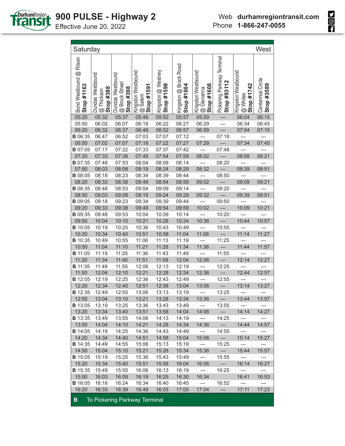

| Pickering Parkway Terminal<br>Bond Westbound @ Ritson<br>Kingston @ Brock Road<br>Kingston @ Westney<br>Kingston Westbound<br>Kingston Westbound<br>Kingston Westbound<br>Dundas Westbound<br>Dundas Westbound<br>Centennial Circle<br>Stop #93112<br><b>@</b> Brock Street<br>Stop #398<br>Stop #1742<br>Stop #1598<br>Stop #1604<br>Stop #1608<br>Stop #3589<br>Stop #1163<br>Stop #1591<br>Stop #388<br>@ Glenanna<br>@ Thickson<br>$@$ Whites<br>@ Salem<br>05:32<br>05:37<br>05:52<br>05:57<br>05:59<br>06:04<br>05:20<br>05:48<br>06:15<br>06:45<br>06:02<br>06:07<br>06:18<br>06:22<br>06:29<br>06:34<br>05:50<br>06:27<br>07:15<br>06:20<br>06:32<br>06:37<br>06:48<br>06:52<br>06:57<br>06:59<br>07:04<br>07:18<br>06:52<br>07:03<br>07:12<br>06:47<br>07:07<br>07:34<br>07:45<br>06:50<br>07:07<br>07:18<br>07:22<br>07:27<br>07:29<br>07:02<br>07:17<br>07:22<br>07:33<br>07:37<br>07:42<br>07:48<br>07:38<br>07:49<br>07:54<br>08:21<br>07:20<br>07:33<br>07:59<br>08:02<br>08:09<br>07:53<br>08:04<br>08:14<br>07:48<br>08:09<br>08:20<br>07:50<br>08:03<br>08:08<br>08:19<br>08:24<br>08:29<br>08:32<br>08:39<br>08:51<br>08:34<br>08:50<br>08:18<br>08:23<br>08:39<br>08:44<br>08:54<br>08:20<br>08:33<br>08:38<br>08:49<br>08:59<br>09:02<br>09:09<br>09:21<br>08:53<br>09:04<br>08:48<br>09:09<br>09:14<br>09:20<br>08:50<br>09:24<br>09:03<br>09:08<br>09:19<br>09:29<br>09:32<br>$\qquad \qquad -$<br>09:39<br>09:51<br>09:18<br>09:23<br>09:34<br>09:39<br>09:44<br>09:50<br>10:21<br>09:20<br>10:02<br>10:09<br>09:33<br>09:38<br>09:49<br>09:54<br>09:59<br>10:04<br>10:20<br>09:48<br>09:53<br>10:09<br>10:14<br>10:44<br>09:50<br>10:04<br>10:10<br>10:21<br>10:28<br>10:34<br>10:36<br>10:57<br>10:25<br>10:36<br>10:43<br>10:19<br>10:49<br>10:55<br>11:14<br>11:27<br>10:20<br>10:34<br>10:40<br>10:51<br>10:58<br>11:04<br>11:06<br><b>B</b> 10:35<br>10:55<br>11:13<br>10:49<br>11:06<br>11:19<br>11:25<br>11:44<br>10:50<br>11:04<br>11:10<br>11:21<br>11:28<br>11:36<br>11:57<br>11:34<br>11:25<br><b>B</b> 11:05<br>11:19<br>11:36<br>11:43<br>11:49<br>11:55<br>11:20<br>11:51<br>11:58<br>12:06<br>12:14<br>12:27<br>11:34<br>11:40<br>12:04<br><b>B</b> 11:35<br>11:55<br>12:06<br>12:13<br>12:19<br>12:25<br>11:49<br>12:36<br>11:50<br>12:10<br>12:21<br>12:28<br>12:34<br>12:44<br>12:04<br>12:57<br>12:25<br><b>B</b> 12:05<br>12:19<br>12:36<br>12:43<br>12:49<br>12:55<br>12:20<br>12:34<br>12:40<br>12:51<br>13:06<br>13:14<br>13:27<br>12:58<br>13:04<br>13:25<br><b>B</b> 12:35<br>12:49<br>12:55<br>13:06<br>13:13<br>13:19<br>12:50<br>13:21<br>13:28<br>13:34<br>13:36<br>13:44<br>13:57<br>13:04<br>13:10<br>13:25<br>13:36<br>13:43<br>13:49<br>13:19<br>13:55<br>13:20<br>13:34<br>13:40<br>13:51<br>14:14<br>13:58<br>14:04<br>14:06<br>$\overline{\phantom{0}}$<br>14:27<br><b>B</b> 13:35<br>13:49<br>13:55<br>14:06<br>14:13<br>14:19<br>14:25<br>13:50<br>14:04<br>14:10<br>14:21<br>14:28<br>14:34<br>14:44<br>14:57<br>14:36<br>$\overline{\phantom{0}}$<br>14:25<br><b>B</b> 14:05<br>14:19<br>14:36<br>14:43<br>14:49<br>$\overline{\phantom{0}}$<br>14:55<br>$\overline{\phantom{0}}$<br>14:20<br>14:34<br>14:40<br>14:51<br>14:58<br>15:04<br>15:14<br>15:27<br>15:06<br>$\overline{\phantom{0}}$<br><b>B</b> 14:35<br>14:49<br>14:55<br>15:06<br>15:13<br>15:19<br>15:25<br>$\overbrace{\phantom{12322111}}$<br>$\equiv$<br>14:50<br>15:04<br>15:10<br>15:21<br>15:28<br>15:34<br>15:36<br>15:44<br>15:57<br>$\hspace{0.1cm}$<br><b>B</b> 15:05<br>15:19<br>15:25<br>15:36<br>15:43<br>15:49<br>15:55<br>$\overline{\phantom{0}}$<br>15:20<br>$\overline{\phantom{0}}$<br>15:34<br>16:14<br>15:40<br>15:51<br>15:58<br>16:04<br>16:06<br>16:27<br>$\overline{\phantom{0}}$<br>$\overline{\phantom{m}}$<br><b>B</b> 15:35<br>15:49<br>15:55<br>16:06<br>16:13<br>16:19<br>16:25<br>15:50<br>16:30<br>16:34<br>16:41<br>16:53<br>16:03<br>16:09<br>16:19<br>16:25<br><b>B</b> 16:05<br>16:18<br>16:24<br>16:34<br>16:40<br>16:45<br>$\overline{\phantom{0}}$<br>16:52<br>16:20<br>16:33<br>16:39<br>16:55<br>17:00<br>17:04<br>$\overline{\phantom{0}}$<br>17:11<br>17:23<br>16:49 | Saturday       |  |  |  |  | West |
|------------------------------------------------------------------------------------------------------------------------------------------------------------------------------------------------------------------------------------------------------------------------------------------------------------------------------------------------------------------------------------------------------------------------------------------------------------------------------------------------------------------------------------------------------------------------------------------------------------------------------------------------------------------------------------------------------------------------------------------------------------------------------------------------------------------------------------------------------------------------------------------------------------------------------------------------------------------------------------------------------------------------------------------------------------------------------------------------------------------------------------------------------------------------------------------------------------------------------------------------------------------------------------------------------------------------------------------------------------------------------------------------------------------------------------------------------------------------------------------------------------------------------------------------------------------------------------------------------------------------------------------------------------------------------------------------------------------------------------------------------------------------------------------------------------------------------------------------------------------------------------------------------------------------------------------------------------------------------------------------------------------------------------------------------------------------------------------------------------------------------------------------------------------------------------------------------------------------------------------------------------------------------------------------------------------------------------------------------------------------------------------------------------------------------------------------------------------------------------------------------------------------------------------------------------------------------------------------------------------------------------------------------------------------------------------------------------------------------------------------------------------------------------------------------------------------------------------------------------------------------------------------------------------------------------------------------------------------------------------------------------------------------------------------------------------------------------------------------------------------------------------------------------------------------------------------------------------------------------------------------------------------------------------------------------------------------------------------------------------------------------------------------------------------------------------------------------------------------------------------------------------------------------------------------------------------------------------------------------------------------------------------------------------------------------------------------------------------------------------------------------------------------------------------------------------------------------------------------------------------------------------------------------------------------------------------------------------------------------------------------------------------------------------------------------------------------------------------------------------------------------------------|----------------|--|--|--|--|------|
|                                                                                                                                                                                                                                                                                                                                                                                                                                                                                                                                                                                                                                                                                                                                                                                                                                                                                                                                                                                                                                                                                                                                                                                                                                                                                                                                                                                                                                                                                                                                                                                                                                                                                                                                                                                                                                                                                                                                                                                                                                                                                                                                                                                                                                                                                                                                                                                                                                                                                                                                                                                                                                                                                                                                                                                                                                                                                                                                                                                                                                                                                                                                                                                                                                                                                                                                                                                                                                                                                                                                                                                                                                                                                                                                                                                                                                                                                                                                                                                                                                                                                                                                                |                |  |  |  |  |      |
|                                                                                                                                                                                                                                                                                                                                                                                                                                                                                                                                                                                                                                                                                                                                                                                                                                                                                                                                                                                                                                                                                                                                                                                                                                                                                                                                                                                                                                                                                                                                                                                                                                                                                                                                                                                                                                                                                                                                                                                                                                                                                                                                                                                                                                                                                                                                                                                                                                                                                                                                                                                                                                                                                                                                                                                                                                                                                                                                                                                                                                                                                                                                                                                                                                                                                                                                                                                                                                                                                                                                                                                                                                                                                                                                                                                                                                                                                                                                                                                                                                                                                                                                                |                |  |  |  |  |      |
|                                                                                                                                                                                                                                                                                                                                                                                                                                                                                                                                                                                                                                                                                                                                                                                                                                                                                                                                                                                                                                                                                                                                                                                                                                                                                                                                                                                                                                                                                                                                                                                                                                                                                                                                                                                                                                                                                                                                                                                                                                                                                                                                                                                                                                                                                                                                                                                                                                                                                                                                                                                                                                                                                                                                                                                                                                                                                                                                                                                                                                                                                                                                                                                                                                                                                                                                                                                                                                                                                                                                                                                                                                                                                                                                                                                                                                                                                                                                                                                                                                                                                                                                                |                |  |  |  |  |      |
|                                                                                                                                                                                                                                                                                                                                                                                                                                                                                                                                                                                                                                                                                                                                                                                                                                                                                                                                                                                                                                                                                                                                                                                                                                                                                                                                                                                                                                                                                                                                                                                                                                                                                                                                                                                                                                                                                                                                                                                                                                                                                                                                                                                                                                                                                                                                                                                                                                                                                                                                                                                                                                                                                                                                                                                                                                                                                                                                                                                                                                                                                                                                                                                                                                                                                                                                                                                                                                                                                                                                                                                                                                                                                                                                                                                                                                                                                                                                                                                                                                                                                                                                                |                |  |  |  |  |      |
|                                                                                                                                                                                                                                                                                                                                                                                                                                                                                                                                                                                                                                                                                                                                                                                                                                                                                                                                                                                                                                                                                                                                                                                                                                                                                                                                                                                                                                                                                                                                                                                                                                                                                                                                                                                                                                                                                                                                                                                                                                                                                                                                                                                                                                                                                                                                                                                                                                                                                                                                                                                                                                                                                                                                                                                                                                                                                                                                                                                                                                                                                                                                                                                                                                                                                                                                                                                                                                                                                                                                                                                                                                                                                                                                                                                                                                                                                                                                                                                                                                                                                                                                                | <b>B</b> 06:35 |  |  |  |  |      |
|                                                                                                                                                                                                                                                                                                                                                                                                                                                                                                                                                                                                                                                                                                                                                                                                                                                                                                                                                                                                                                                                                                                                                                                                                                                                                                                                                                                                                                                                                                                                                                                                                                                                                                                                                                                                                                                                                                                                                                                                                                                                                                                                                                                                                                                                                                                                                                                                                                                                                                                                                                                                                                                                                                                                                                                                                                                                                                                                                                                                                                                                                                                                                                                                                                                                                                                                                                                                                                                                                                                                                                                                                                                                                                                                                                                                                                                                                                                                                                                                                                                                                                                                                |                |  |  |  |  |      |
|                                                                                                                                                                                                                                                                                                                                                                                                                                                                                                                                                                                                                                                                                                                                                                                                                                                                                                                                                                                                                                                                                                                                                                                                                                                                                                                                                                                                                                                                                                                                                                                                                                                                                                                                                                                                                                                                                                                                                                                                                                                                                                                                                                                                                                                                                                                                                                                                                                                                                                                                                                                                                                                                                                                                                                                                                                                                                                                                                                                                                                                                                                                                                                                                                                                                                                                                                                                                                                                                                                                                                                                                                                                                                                                                                                                                                                                                                                                                                                                                                                                                                                                                                | <b>B</b> 07:05 |  |  |  |  |      |
|                                                                                                                                                                                                                                                                                                                                                                                                                                                                                                                                                                                                                                                                                                                                                                                                                                                                                                                                                                                                                                                                                                                                                                                                                                                                                                                                                                                                                                                                                                                                                                                                                                                                                                                                                                                                                                                                                                                                                                                                                                                                                                                                                                                                                                                                                                                                                                                                                                                                                                                                                                                                                                                                                                                                                                                                                                                                                                                                                                                                                                                                                                                                                                                                                                                                                                                                                                                                                                                                                                                                                                                                                                                                                                                                                                                                                                                                                                                                                                                                                                                                                                                                                |                |  |  |  |  |      |
|                                                                                                                                                                                                                                                                                                                                                                                                                                                                                                                                                                                                                                                                                                                                                                                                                                                                                                                                                                                                                                                                                                                                                                                                                                                                                                                                                                                                                                                                                                                                                                                                                                                                                                                                                                                                                                                                                                                                                                                                                                                                                                                                                                                                                                                                                                                                                                                                                                                                                                                                                                                                                                                                                                                                                                                                                                                                                                                                                                                                                                                                                                                                                                                                                                                                                                                                                                                                                                                                                                                                                                                                                                                                                                                                                                                                                                                                                                                                                                                                                                                                                                                                                | <b>B</b> 07:35 |  |  |  |  |      |
|                                                                                                                                                                                                                                                                                                                                                                                                                                                                                                                                                                                                                                                                                                                                                                                                                                                                                                                                                                                                                                                                                                                                                                                                                                                                                                                                                                                                                                                                                                                                                                                                                                                                                                                                                                                                                                                                                                                                                                                                                                                                                                                                                                                                                                                                                                                                                                                                                                                                                                                                                                                                                                                                                                                                                                                                                                                                                                                                                                                                                                                                                                                                                                                                                                                                                                                                                                                                                                                                                                                                                                                                                                                                                                                                                                                                                                                                                                                                                                                                                                                                                                                                                |                |  |  |  |  |      |
|                                                                                                                                                                                                                                                                                                                                                                                                                                                                                                                                                                                                                                                                                                                                                                                                                                                                                                                                                                                                                                                                                                                                                                                                                                                                                                                                                                                                                                                                                                                                                                                                                                                                                                                                                                                                                                                                                                                                                                                                                                                                                                                                                                                                                                                                                                                                                                                                                                                                                                                                                                                                                                                                                                                                                                                                                                                                                                                                                                                                                                                                                                                                                                                                                                                                                                                                                                                                                                                                                                                                                                                                                                                                                                                                                                                                                                                                                                                                                                                                                                                                                                                                                | <b>B</b> 08:05 |  |  |  |  |      |
|                                                                                                                                                                                                                                                                                                                                                                                                                                                                                                                                                                                                                                                                                                                                                                                                                                                                                                                                                                                                                                                                                                                                                                                                                                                                                                                                                                                                                                                                                                                                                                                                                                                                                                                                                                                                                                                                                                                                                                                                                                                                                                                                                                                                                                                                                                                                                                                                                                                                                                                                                                                                                                                                                                                                                                                                                                                                                                                                                                                                                                                                                                                                                                                                                                                                                                                                                                                                                                                                                                                                                                                                                                                                                                                                                                                                                                                                                                                                                                                                                                                                                                                                                |                |  |  |  |  |      |
|                                                                                                                                                                                                                                                                                                                                                                                                                                                                                                                                                                                                                                                                                                                                                                                                                                                                                                                                                                                                                                                                                                                                                                                                                                                                                                                                                                                                                                                                                                                                                                                                                                                                                                                                                                                                                                                                                                                                                                                                                                                                                                                                                                                                                                                                                                                                                                                                                                                                                                                                                                                                                                                                                                                                                                                                                                                                                                                                                                                                                                                                                                                                                                                                                                                                                                                                                                                                                                                                                                                                                                                                                                                                                                                                                                                                                                                                                                                                                                                                                                                                                                                                                | <b>B</b> 08:35 |  |  |  |  |      |
|                                                                                                                                                                                                                                                                                                                                                                                                                                                                                                                                                                                                                                                                                                                                                                                                                                                                                                                                                                                                                                                                                                                                                                                                                                                                                                                                                                                                                                                                                                                                                                                                                                                                                                                                                                                                                                                                                                                                                                                                                                                                                                                                                                                                                                                                                                                                                                                                                                                                                                                                                                                                                                                                                                                                                                                                                                                                                                                                                                                                                                                                                                                                                                                                                                                                                                                                                                                                                                                                                                                                                                                                                                                                                                                                                                                                                                                                                                                                                                                                                                                                                                                                                |                |  |  |  |  |      |
|                                                                                                                                                                                                                                                                                                                                                                                                                                                                                                                                                                                                                                                                                                                                                                                                                                                                                                                                                                                                                                                                                                                                                                                                                                                                                                                                                                                                                                                                                                                                                                                                                                                                                                                                                                                                                                                                                                                                                                                                                                                                                                                                                                                                                                                                                                                                                                                                                                                                                                                                                                                                                                                                                                                                                                                                                                                                                                                                                                                                                                                                                                                                                                                                                                                                                                                                                                                                                                                                                                                                                                                                                                                                                                                                                                                                                                                                                                                                                                                                                                                                                                                                                | <b>B</b> 09:05 |  |  |  |  |      |
|                                                                                                                                                                                                                                                                                                                                                                                                                                                                                                                                                                                                                                                                                                                                                                                                                                                                                                                                                                                                                                                                                                                                                                                                                                                                                                                                                                                                                                                                                                                                                                                                                                                                                                                                                                                                                                                                                                                                                                                                                                                                                                                                                                                                                                                                                                                                                                                                                                                                                                                                                                                                                                                                                                                                                                                                                                                                                                                                                                                                                                                                                                                                                                                                                                                                                                                                                                                                                                                                                                                                                                                                                                                                                                                                                                                                                                                                                                                                                                                                                                                                                                                                                |                |  |  |  |  |      |
|                                                                                                                                                                                                                                                                                                                                                                                                                                                                                                                                                                                                                                                                                                                                                                                                                                                                                                                                                                                                                                                                                                                                                                                                                                                                                                                                                                                                                                                                                                                                                                                                                                                                                                                                                                                                                                                                                                                                                                                                                                                                                                                                                                                                                                                                                                                                                                                                                                                                                                                                                                                                                                                                                                                                                                                                                                                                                                                                                                                                                                                                                                                                                                                                                                                                                                                                                                                                                                                                                                                                                                                                                                                                                                                                                                                                                                                                                                                                                                                                                                                                                                                                                | <b>B</b> 09:35 |  |  |  |  |      |
|                                                                                                                                                                                                                                                                                                                                                                                                                                                                                                                                                                                                                                                                                                                                                                                                                                                                                                                                                                                                                                                                                                                                                                                                                                                                                                                                                                                                                                                                                                                                                                                                                                                                                                                                                                                                                                                                                                                                                                                                                                                                                                                                                                                                                                                                                                                                                                                                                                                                                                                                                                                                                                                                                                                                                                                                                                                                                                                                                                                                                                                                                                                                                                                                                                                                                                                                                                                                                                                                                                                                                                                                                                                                                                                                                                                                                                                                                                                                                                                                                                                                                                                                                |                |  |  |  |  |      |
|                                                                                                                                                                                                                                                                                                                                                                                                                                                                                                                                                                                                                                                                                                                                                                                                                                                                                                                                                                                                                                                                                                                                                                                                                                                                                                                                                                                                                                                                                                                                                                                                                                                                                                                                                                                                                                                                                                                                                                                                                                                                                                                                                                                                                                                                                                                                                                                                                                                                                                                                                                                                                                                                                                                                                                                                                                                                                                                                                                                                                                                                                                                                                                                                                                                                                                                                                                                                                                                                                                                                                                                                                                                                                                                                                                                                                                                                                                                                                                                                                                                                                                                                                | <b>B</b> 10:05 |  |  |  |  |      |
|                                                                                                                                                                                                                                                                                                                                                                                                                                                                                                                                                                                                                                                                                                                                                                                                                                                                                                                                                                                                                                                                                                                                                                                                                                                                                                                                                                                                                                                                                                                                                                                                                                                                                                                                                                                                                                                                                                                                                                                                                                                                                                                                                                                                                                                                                                                                                                                                                                                                                                                                                                                                                                                                                                                                                                                                                                                                                                                                                                                                                                                                                                                                                                                                                                                                                                                                                                                                                                                                                                                                                                                                                                                                                                                                                                                                                                                                                                                                                                                                                                                                                                                                                |                |  |  |  |  |      |
|                                                                                                                                                                                                                                                                                                                                                                                                                                                                                                                                                                                                                                                                                                                                                                                                                                                                                                                                                                                                                                                                                                                                                                                                                                                                                                                                                                                                                                                                                                                                                                                                                                                                                                                                                                                                                                                                                                                                                                                                                                                                                                                                                                                                                                                                                                                                                                                                                                                                                                                                                                                                                                                                                                                                                                                                                                                                                                                                                                                                                                                                                                                                                                                                                                                                                                                                                                                                                                                                                                                                                                                                                                                                                                                                                                                                                                                                                                                                                                                                                                                                                                                                                |                |  |  |  |  |      |
|                                                                                                                                                                                                                                                                                                                                                                                                                                                                                                                                                                                                                                                                                                                                                                                                                                                                                                                                                                                                                                                                                                                                                                                                                                                                                                                                                                                                                                                                                                                                                                                                                                                                                                                                                                                                                                                                                                                                                                                                                                                                                                                                                                                                                                                                                                                                                                                                                                                                                                                                                                                                                                                                                                                                                                                                                                                                                                                                                                                                                                                                                                                                                                                                                                                                                                                                                                                                                                                                                                                                                                                                                                                                                                                                                                                                                                                                                                                                                                                                                                                                                                                                                |                |  |  |  |  |      |
|                                                                                                                                                                                                                                                                                                                                                                                                                                                                                                                                                                                                                                                                                                                                                                                                                                                                                                                                                                                                                                                                                                                                                                                                                                                                                                                                                                                                                                                                                                                                                                                                                                                                                                                                                                                                                                                                                                                                                                                                                                                                                                                                                                                                                                                                                                                                                                                                                                                                                                                                                                                                                                                                                                                                                                                                                                                                                                                                                                                                                                                                                                                                                                                                                                                                                                                                                                                                                                                                                                                                                                                                                                                                                                                                                                                                                                                                                                                                                                                                                                                                                                                                                |                |  |  |  |  |      |
|                                                                                                                                                                                                                                                                                                                                                                                                                                                                                                                                                                                                                                                                                                                                                                                                                                                                                                                                                                                                                                                                                                                                                                                                                                                                                                                                                                                                                                                                                                                                                                                                                                                                                                                                                                                                                                                                                                                                                                                                                                                                                                                                                                                                                                                                                                                                                                                                                                                                                                                                                                                                                                                                                                                                                                                                                                                                                                                                                                                                                                                                                                                                                                                                                                                                                                                                                                                                                                                                                                                                                                                                                                                                                                                                                                                                                                                                                                                                                                                                                                                                                                                                                |                |  |  |  |  |      |
|                                                                                                                                                                                                                                                                                                                                                                                                                                                                                                                                                                                                                                                                                                                                                                                                                                                                                                                                                                                                                                                                                                                                                                                                                                                                                                                                                                                                                                                                                                                                                                                                                                                                                                                                                                                                                                                                                                                                                                                                                                                                                                                                                                                                                                                                                                                                                                                                                                                                                                                                                                                                                                                                                                                                                                                                                                                                                                                                                                                                                                                                                                                                                                                                                                                                                                                                                                                                                                                                                                                                                                                                                                                                                                                                                                                                                                                                                                                                                                                                                                                                                                                                                |                |  |  |  |  |      |
|                                                                                                                                                                                                                                                                                                                                                                                                                                                                                                                                                                                                                                                                                                                                                                                                                                                                                                                                                                                                                                                                                                                                                                                                                                                                                                                                                                                                                                                                                                                                                                                                                                                                                                                                                                                                                                                                                                                                                                                                                                                                                                                                                                                                                                                                                                                                                                                                                                                                                                                                                                                                                                                                                                                                                                                                                                                                                                                                                                                                                                                                                                                                                                                                                                                                                                                                                                                                                                                                                                                                                                                                                                                                                                                                                                                                                                                                                                                                                                                                                                                                                                                                                |                |  |  |  |  |      |
|                                                                                                                                                                                                                                                                                                                                                                                                                                                                                                                                                                                                                                                                                                                                                                                                                                                                                                                                                                                                                                                                                                                                                                                                                                                                                                                                                                                                                                                                                                                                                                                                                                                                                                                                                                                                                                                                                                                                                                                                                                                                                                                                                                                                                                                                                                                                                                                                                                                                                                                                                                                                                                                                                                                                                                                                                                                                                                                                                                                                                                                                                                                                                                                                                                                                                                                                                                                                                                                                                                                                                                                                                                                                                                                                                                                                                                                                                                                                                                                                                                                                                                                                                |                |  |  |  |  |      |
|                                                                                                                                                                                                                                                                                                                                                                                                                                                                                                                                                                                                                                                                                                                                                                                                                                                                                                                                                                                                                                                                                                                                                                                                                                                                                                                                                                                                                                                                                                                                                                                                                                                                                                                                                                                                                                                                                                                                                                                                                                                                                                                                                                                                                                                                                                                                                                                                                                                                                                                                                                                                                                                                                                                                                                                                                                                                                                                                                                                                                                                                                                                                                                                                                                                                                                                                                                                                                                                                                                                                                                                                                                                                                                                                                                                                                                                                                                                                                                                                                                                                                                                                                |                |  |  |  |  |      |
|                                                                                                                                                                                                                                                                                                                                                                                                                                                                                                                                                                                                                                                                                                                                                                                                                                                                                                                                                                                                                                                                                                                                                                                                                                                                                                                                                                                                                                                                                                                                                                                                                                                                                                                                                                                                                                                                                                                                                                                                                                                                                                                                                                                                                                                                                                                                                                                                                                                                                                                                                                                                                                                                                                                                                                                                                                                                                                                                                                                                                                                                                                                                                                                                                                                                                                                                                                                                                                                                                                                                                                                                                                                                                                                                                                                                                                                                                                                                                                                                                                                                                                                                                |                |  |  |  |  |      |
|                                                                                                                                                                                                                                                                                                                                                                                                                                                                                                                                                                                                                                                                                                                                                                                                                                                                                                                                                                                                                                                                                                                                                                                                                                                                                                                                                                                                                                                                                                                                                                                                                                                                                                                                                                                                                                                                                                                                                                                                                                                                                                                                                                                                                                                                                                                                                                                                                                                                                                                                                                                                                                                                                                                                                                                                                                                                                                                                                                                                                                                                                                                                                                                                                                                                                                                                                                                                                                                                                                                                                                                                                                                                                                                                                                                                                                                                                                                                                                                                                                                                                                                                                |                |  |  |  |  |      |
|                                                                                                                                                                                                                                                                                                                                                                                                                                                                                                                                                                                                                                                                                                                                                                                                                                                                                                                                                                                                                                                                                                                                                                                                                                                                                                                                                                                                                                                                                                                                                                                                                                                                                                                                                                                                                                                                                                                                                                                                                                                                                                                                                                                                                                                                                                                                                                                                                                                                                                                                                                                                                                                                                                                                                                                                                                                                                                                                                                                                                                                                                                                                                                                                                                                                                                                                                                                                                                                                                                                                                                                                                                                                                                                                                                                                                                                                                                                                                                                                                                                                                                                                                | <b>B</b> 13:05 |  |  |  |  |      |
|                                                                                                                                                                                                                                                                                                                                                                                                                                                                                                                                                                                                                                                                                                                                                                                                                                                                                                                                                                                                                                                                                                                                                                                                                                                                                                                                                                                                                                                                                                                                                                                                                                                                                                                                                                                                                                                                                                                                                                                                                                                                                                                                                                                                                                                                                                                                                                                                                                                                                                                                                                                                                                                                                                                                                                                                                                                                                                                                                                                                                                                                                                                                                                                                                                                                                                                                                                                                                                                                                                                                                                                                                                                                                                                                                                                                                                                                                                                                                                                                                                                                                                                                                |                |  |  |  |  |      |
|                                                                                                                                                                                                                                                                                                                                                                                                                                                                                                                                                                                                                                                                                                                                                                                                                                                                                                                                                                                                                                                                                                                                                                                                                                                                                                                                                                                                                                                                                                                                                                                                                                                                                                                                                                                                                                                                                                                                                                                                                                                                                                                                                                                                                                                                                                                                                                                                                                                                                                                                                                                                                                                                                                                                                                                                                                                                                                                                                                                                                                                                                                                                                                                                                                                                                                                                                                                                                                                                                                                                                                                                                                                                                                                                                                                                                                                                                                                                                                                                                                                                                                                                                |                |  |  |  |  |      |
|                                                                                                                                                                                                                                                                                                                                                                                                                                                                                                                                                                                                                                                                                                                                                                                                                                                                                                                                                                                                                                                                                                                                                                                                                                                                                                                                                                                                                                                                                                                                                                                                                                                                                                                                                                                                                                                                                                                                                                                                                                                                                                                                                                                                                                                                                                                                                                                                                                                                                                                                                                                                                                                                                                                                                                                                                                                                                                                                                                                                                                                                                                                                                                                                                                                                                                                                                                                                                                                                                                                                                                                                                                                                                                                                                                                                                                                                                                                                                                                                                                                                                                                                                |                |  |  |  |  |      |
|                                                                                                                                                                                                                                                                                                                                                                                                                                                                                                                                                                                                                                                                                                                                                                                                                                                                                                                                                                                                                                                                                                                                                                                                                                                                                                                                                                                                                                                                                                                                                                                                                                                                                                                                                                                                                                                                                                                                                                                                                                                                                                                                                                                                                                                                                                                                                                                                                                                                                                                                                                                                                                                                                                                                                                                                                                                                                                                                                                                                                                                                                                                                                                                                                                                                                                                                                                                                                                                                                                                                                                                                                                                                                                                                                                                                                                                                                                                                                                                                                                                                                                                                                |                |  |  |  |  |      |
|                                                                                                                                                                                                                                                                                                                                                                                                                                                                                                                                                                                                                                                                                                                                                                                                                                                                                                                                                                                                                                                                                                                                                                                                                                                                                                                                                                                                                                                                                                                                                                                                                                                                                                                                                                                                                                                                                                                                                                                                                                                                                                                                                                                                                                                                                                                                                                                                                                                                                                                                                                                                                                                                                                                                                                                                                                                                                                                                                                                                                                                                                                                                                                                                                                                                                                                                                                                                                                                                                                                                                                                                                                                                                                                                                                                                                                                                                                                                                                                                                                                                                                                                                |                |  |  |  |  |      |
|                                                                                                                                                                                                                                                                                                                                                                                                                                                                                                                                                                                                                                                                                                                                                                                                                                                                                                                                                                                                                                                                                                                                                                                                                                                                                                                                                                                                                                                                                                                                                                                                                                                                                                                                                                                                                                                                                                                                                                                                                                                                                                                                                                                                                                                                                                                                                                                                                                                                                                                                                                                                                                                                                                                                                                                                                                                                                                                                                                                                                                                                                                                                                                                                                                                                                                                                                                                                                                                                                                                                                                                                                                                                                                                                                                                                                                                                                                                                                                                                                                                                                                                                                |                |  |  |  |  |      |
|                                                                                                                                                                                                                                                                                                                                                                                                                                                                                                                                                                                                                                                                                                                                                                                                                                                                                                                                                                                                                                                                                                                                                                                                                                                                                                                                                                                                                                                                                                                                                                                                                                                                                                                                                                                                                                                                                                                                                                                                                                                                                                                                                                                                                                                                                                                                                                                                                                                                                                                                                                                                                                                                                                                                                                                                                                                                                                                                                                                                                                                                                                                                                                                                                                                                                                                                                                                                                                                                                                                                                                                                                                                                                                                                                                                                                                                                                                                                                                                                                                                                                                                                                |                |  |  |  |  |      |
|                                                                                                                                                                                                                                                                                                                                                                                                                                                                                                                                                                                                                                                                                                                                                                                                                                                                                                                                                                                                                                                                                                                                                                                                                                                                                                                                                                                                                                                                                                                                                                                                                                                                                                                                                                                                                                                                                                                                                                                                                                                                                                                                                                                                                                                                                                                                                                                                                                                                                                                                                                                                                                                                                                                                                                                                                                                                                                                                                                                                                                                                                                                                                                                                                                                                                                                                                                                                                                                                                                                                                                                                                                                                                                                                                                                                                                                                                                                                                                                                                                                                                                                                                |                |  |  |  |  |      |
|                                                                                                                                                                                                                                                                                                                                                                                                                                                                                                                                                                                                                                                                                                                                                                                                                                                                                                                                                                                                                                                                                                                                                                                                                                                                                                                                                                                                                                                                                                                                                                                                                                                                                                                                                                                                                                                                                                                                                                                                                                                                                                                                                                                                                                                                                                                                                                                                                                                                                                                                                                                                                                                                                                                                                                                                                                                                                                                                                                                                                                                                                                                                                                                                                                                                                                                                                                                                                                                                                                                                                                                                                                                                                                                                                                                                                                                                                                                                                                                                                                                                                                                                                |                |  |  |  |  |      |
|                                                                                                                                                                                                                                                                                                                                                                                                                                                                                                                                                                                                                                                                                                                                                                                                                                                                                                                                                                                                                                                                                                                                                                                                                                                                                                                                                                                                                                                                                                                                                                                                                                                                                                                                                                                                                                                                                                                                                                                                                                                                                                                                                                                                                                                                                                                                                                                                                                                                                                                                                                                                                                                                                                                                                                                                                                                                                                                                                                                                                                                                                                                                                                                                                                                                                                                                                                                                                                                                                                                                                                                                                                                                                                                                                                                                                                                                                                                                                                                                                                                                                                                                                |                |  |  |  |  |      |
|                                                                                                                                                                                                                                                                                                                                                                                                                                                                                                                                                                                                                                                                                                                                                                                                                                                                                                                                                                                                                                                                                                                                                                                                                                                                                                                                                                                                                                                                                                                                                                                                                                                                                                                                                                                                                                                                                                                                                                                                                                                                                                                                                                                                                                                                                                                                                                                                                                                                                                                                                                                                                                                                                                                                                                                                                                                                                                                                                                                                                                                                                                                                                                                                                                                                                                                                                                                                                                                                                                                                                                                                                                                                                                                                                                                                                                                                                                                                                                                                                                                                                                                                                |                |  |  |  |  |      |
|                                                                                                                                                                                                                                                                                                                                                                                                                                                                                                                                                                                                                                                                                                                                                                                                                                                                                                                                                                                                                                                                                                                                                                                                                                                                                                                                                                                                                                                                                                                                                                                                                                                                                                                                                                                                                                                                                                                                                                                                                                                                                                                                                                                                                                                                                                                                                                                                                                                                                                                                                                                                                                                                                                                                                                                                                                                                                                                                                                                                                                                                                                                                                                                                                                                                                                                                                                                                                                                                                                                                                                                                                                                                                                                                                                                                                                                                                                                                                                                                                                                                                                                                                |                |  |  |  |  |      |
|                                                                                                                                                                                                                                                                                                                                                                                                                                                                                                                                                                                                                                                                                                                                                                                                                                                                                                                                                                                                                                                                                                                                                                                                                                                                                                                                                                                                                                                                                                                                                                                                                                                                                                                                                                                                                                                                                                                                                                                                                                                                                                                                                                                                                                                                                                                                                                                                                                                                                                                                                                                                                                                                                                                                                                                                                                                                                                                                                                                                                                                                                                                                                                                                                                                                                                                                                                                                                                                                                                                                                                                                                                                                                                                                                                                                                                                                                                                                                                                                                                                                                                                                                |                |  |  |  |  |      |

**B** To Pickering Parkway Terminal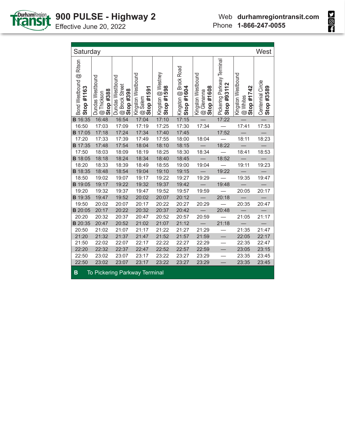

| Saturday                              |                                             |                                                 |                                             |                                  |                                     |                                                |                                           |                                              | West                            |
|---------------------------------------|---------------------------------------------|-------------------------------------------------|---------------------------------------------|----------------------------------|-------------------------------------|------------------------------------------------|-------------------------------------------|----------------------------------------------|---------------------------------|
| Bond Westbound @ Ritson<br>Stop #1163 | Dundas Westbound<br>Stop #388<br>@ Thickson | Dundas Westbound<br>@ Brock Street<br>Stop #398 | Kingston Westbound<br>Stop #1591<br>@ Salem | Kingston @ Westney<br>Stop #1598 | Kingston @ Brock Road<br>Stop #1604 | Kingston Westbound<br>Stop #1608<br>@ Glenanna | Pickering Parkway Terminal<br>Stop #93112 | Kingston Westbound<br>Stop #1742<br>@ Whites | Centennial Circle<br>Stop #3589 |
| <b>B</b> 16:35                        | 16:48                                       | 16:54                                           | 17:04                                       | 17:10                            | 17:15                               |                                                | 17:22                                     |                                              |                                 |
| 16:50                                 | 17:03                                       | 17:09                                           | 17:19                                       | 17:25                            | 17:30                               | 17:34                                          |                                           | 17:41                                        | 17:53                           |
| <b>B</b> 17:05                        | 17:18                                       | 17:24                                           | 17:34                                       | 17:40                            | 17:45                               |                                                | 17:52                                     |                                              |                                 |
| 17:20                                 | 17:33                                       | 17:39                                           | 17:49                                       | 17:55                            | 18:00                               | 18:04                                          |                                           | 18:11                                        | 18:23                           |
| <b>B</b> 17:35                        | 17:48                                       | 17:54                                           | 18:04                                       | 18:10                            | 18:15                               |                                                | 18:22                                     |                                              |                                 |
| 17:50                                 | 18:03                                       | 18:09                                           | 18:19                                       | 18:25                            | 18:30                               | 18:34                                          |                                           | 18:41                                        | 18:53                           |
| <b>B</b> 18:05                        | 18:18                                       | 18:24                                           | 18:34                                       | 18:40                            | 18:45                               |                                                | 18:52                                     |                                              |                                 |
| 18:20                                 | 18:33                                       | 18:39                                           | 18:49                                       | 18:55                            | 19:00                               | 19:04                                          |                                           | 19:11                                        | 19:23                           |
| <b>B</b> 18:35                        | 18:48                                       | 18:54                                           | 19:04                                       | 19:10                            | 19:15                               |                                                | 19:22                                     |                                              |                                 |
| 18:50                                 | 19:02                                       | 19:07                                           | 19:17                                       | 19:22                            | 19:27                               | 19:29                                          |                                           | 19:35                                        | 19:47                           |
| <b>B</b> 19:05                        | 19:17                                       | 19:22                                           | 19:32                                       | 19:37                            | 19:42                               |                                                | 19:48                                     |                                              |                                 |
| 19:20                                 | 19:32                                       | 19:37                                           | 19:47                                       | 19:52                            | 19:57                               | 19:59                                          |                                           | 20:05                                        | 20:17                           |
| <b>B</b> 19:35                        | 19:47                                       | 19:52                                           | 20:02                                       | 20:07                            | 20:12                               |                                                | 20:18                                     |                                              |                                 |
| 19:50                                 | 20:02                                       | 20:07                                           | 20:17                                       | 20:22                            | 20:27                               | 20:29                                          |                                           | 20:35                                        | 20:47                           |
| <b>B</b> 20:05                        | 20:17                                       | 20:22                                           | 20:32                                       | 20:37                            | 20:42                               |                                                | 20:48                                     |                                              |                                 |
| 20:20                                 | 20:32                                       | 20:37                                           | 20:47                                       | 20:52                            | 20:57                               | 20:59                                          |                                           | 21:05                                        | 21:17                           |
| <b>B</b> 20:35                        | 20:47                                       | 20:52                                           | 21:02                                       | 21:07                            | 21:12                               |                                                | 21:18                                     |                                              |                                 |
| 20:50                                 | 21:02                                       | 21:07                                           | 21:17                                       | 21:22                            | 21:27                               | 21:29                                          |                                           | 21:35                                        | 21:47                           |
| 21:20                                 | 21:32                                       | 21:37                                           | 21:47                                       | 21:52                            | 21:57                               | 21:59                                          |                                           | 22:05                                        | 22:17                           |
| 21:50                                 | 22:02                                       | 22:07                                           | 22:17                                       | 22:22                            | 22:27                               | 22:29                                          |                                           | 22:35                                        | 22:47                           |
| 22:20<br>22:50                        | 22:32                                       | 22:37                                           | 22:47                                       | 22:52                            | 22:57                               | 22:59                                          |                                           | 23:05                                        | 23:15                           |
| 22:50                                 | 23:02<br>23:02                              | 23:07<br>23:07                                  | 23:17<br>23:17                              | 23:22<br>23:22                   | 23:27<br>23:27                      | 23:29<br>23:29                                 |                                           | 23:35<br>23:35                               | 23:45<br>23:45                  |
|                                       |                                             |                                                 |                                             |                                  |                                     |                                                |                                           |                                              |                                 |
| B                                     |                                             |                                                 | To Pickering Parkway Terminal               |                                  |                                     |                                                |                                           |                                              |                                 |

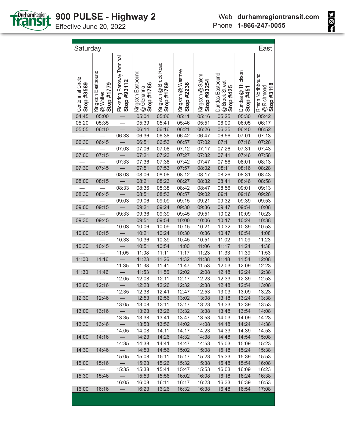

| Saturday                         |                                              |                                           |                                                |                                     |                                  |                                 |                                                 |                                | East                                                        |
|----------------------------------|----------------------------------------------|-------------------------------------------|------------------------------------------------|-------------------------------------|----------------------------------|---------------------------------|-------------------------------------------------|--------------------------------|-------------------------------------------------------------|
| Centennial Circle<br>Stop #3589  | Kingston Eastbound<br>Stop #1779<br>@ Whites | Pickering Parkway Terminal<br>Stop #93112 | Kingston Eastbound<br>Stop #1786<br>@ Glenanna | Kingston @ Brock Road<br>Stop #1789 | Kingston @ Westney<br>Stop #2236 | Kingston @ Salem<br>Stop #93254 | Dundas Eastbound<br>@ Brock Street<br>Stop #425 | Dundas @ Thickson<br>Stop #451 | <b>Ritson Northbound</b><br><b>@ Richmond</b><br>Stop #3118 |
| 04:45                            | 05:00                                        |                                           | 05:04                                          | 05:06                               | 05:11                            | 05:16                           | 05:25                                           | 05:30                          | 05:42                                                       |
| 05:20                            | 05:35                                        |                                           | 05:39                                          | 05:41                               | 05:46                            | 05:51                           | 06:00                                           | 06:05                          | 06:17                                                       |
| 05:55                            | 06:10                                        |                                           | 06:14                                          | 06:16                               | 06:21                            | 06:26                           | 06:35                                           | 06:40                          | 06:52                                                       |
|                                  |                                              | 06:33                                     | 06:36                                          | 06:38                               | 06:42                            | 06:47                           | 06:56                                           | 07:01                          | 07:13                                                       |
| 06:30                            | 06:45                                        |                                           | 06:51                                          | 06:53                               | 06:57                            | 07:02                           | 07:11                                           | 07:16                          | 07:28                                                       |
|                                  |                                              | 07:03                                     | 07:06                                          | 07:08                               | 07:12                            | 07:17                           | 07:26                                           | 07:31                          | 07:43                                                       |
| 07:00                            | 07:15                                        |                                           | 07:21                                          | 07:23                               | 07:27                            | 07:32                           | 07:41                                           | 07:46                          | 07:58                                                       |
|                                  |                                              | 07:33                                     | 07:36                                          | 07:38                               | 07:42                            | 07:47                           | 07:56                                           | 08:01                          | 08:13                                                       |
| 07:30                            | 07:45                                        |                                           | 07:51                                          | 07:53                               | 07:57                            | 08:02                           | 08:11                                           | 08:16                          | 08:28                                                       |
|                                  |                                              | 08:03                                     | 08:06                                          | 08:08                               | 08:12                            | 08:17                           | 08:26                                           | 08:31                          | 08:43                                                       |
| 08:00                            | 08:15                                        |                                           | 08:21                                          | 08:23                               | 08:27                            | 08:32                           | 08:41                                           | 08:46                          | 08:58                                                       |
|                                  |                                              | 08:33                                     | 08:36                                          | 08:38                               | 08:42                            | 08:47                           | 08:56                                           | 09:01                          | 09:13                                                       |
| 08:30                            | 08:45                                        |                                           | 08:51                                          | 08:53                               | 08:57                            | 09:02                           | 09:11                                           | 09:16                          | 09:28                                                       |
|                                  |                                              | 09:03                                     | 09:06                                          | 09:09                               | 09:15                            | 09:21                           | 09:32                                           | 09:39                          | 09:53                                                       |
| 09:00                            | 09:15                                        |                                           | 09:21                                          | 09:24                               | 09:30                            | 09:36                           | 09:47                                           | 09:54                          | 10:08                                                       |
|                                  |                                              | 09:33                                     | 09:36                                          | 09:39                               | 09:45                            | 09:51                           | 10:02                                           | 10:09<br>10:24                 | 10:23                                                       |
| 09:30                            | 09:45                                        | 10:03                                     | 09:51<br>10:06                                 | 09:54<br>10:09                      | 10:00<br>10:15                   | 10:06<br>10:21                  | 10:17<br>10:32                                  | 10:39                          | 10:38<br>10:53                                              |
| 10:00                            | 10:15                                        | $\overline{\phantom{0}}$                  | 10:21                                          | 10:24                               | 10:30                            | 10:36                           | 10:47                                           | 10:54                          | 11:08                                                       |
|                                  |                                              | 10:33                                     | 10:36                                          | 10:39                               | 10:45                            | 10:51                           | 11:02                                           | 11:09                          | 11:23                                                       |
| 10:30                            | 10:45                                        |                                           | 10:51                                          | 10:54                               | 11:00                            | 11:06                           | 11:17                                           | 11:24                          | 11:38                                                       |
|                                  |                                              | 11:05                                     | 11:08                                          | 11:11                               | 11:17                            | 11:23                           | 11:33                                           | 11:39                          | 11:53                                                       |
| 11:00                            | 11:16                                        |                                           | 11:23                                          | 11:26                               | 11:32                            | 11:38                           | 11:48                                           | 11:54                          | 12:08                                                       |
|                                  |                                              | 11:35                                     | 11:38                                          | 11:41                               | 11:47                            | 11:53                           | 12:03                                           | 12:09                          | 12:23                                                       |
| 11:30                            | 11:46                                        |                                           | 11:53                                          | 11:56                               | 12:02                            | 12:08                           | 12:18                                           | 12:24                          | 12:38                                                       |
|                                  |                                              | 12:05                                     | 12:08                                          | 12:11                               | 12:17                            | 12:23                           | 12:33                                           | 12:39                          | 12:53                                                       |
| 12:00                            | 12:16                                        |                                           | 12:23                                          | 12:26                               | 12:32                            | 12:38                           | 12:48                                           | 12:54                          | 13:08                                                       |
|                                  |                                              | 12:35                                     | 12:38                                          | 12:41                               | 12:47                            | 12:53                           | 13:03                                           | 13:09                          | 13:23                                                       |
| 12:30                            | 12:46                                        |                                           | 12:53                                          | 12:56                               | 13:02                            | 13:08                           | 13:18                                           | 13:24                          | 13:38                                                       |
|                                  |                                              | 13:05                                     | 13:08                                          | 13:11                               | 13:17                            | 13:23                           | 13:33                                           | 13:39                          | 13:53                                                       |
| 13:00                            | 13:16                                        | $\overline{\phantom{m}}$                  | 13:23                                          | 13:26                               | 13:32                            | 13:38                           | 13:48                                           | 13:54                          | 14:08                                                       |
|                                  | $\overline{\phantom{0}}$                     | 13:35                                     | 13:38                                          | 13:41                               | 13:47                            | 13:53                           | 14:03                                           | 14:09                          | 14:23                                                       |
| 13:30                            | 13:46                                        | $\overline{\phantom{0}}$                  | 13:53                                          | 13:56                               | 14:02                            | 14:08                           | 14:18                                           | 14:24                          | 14:38                                                       |
| $\overbrace{\phantom{12322111}}$ | $\overline{\phantom{0}}$                     | 14:05                                     | 14:08                                          | 14:11                               | 14:17                            | 14:23                           | 14:33                                           | 14:39                          | 14:53                                                       |
| 14:00                            | 14:16                                        |                                           | 14:23                                          | 14:26                               | 14:32                            | 14:38                           | 14:48                                           | 14:54                          | 15:08                                                       |
| $\overline{\phantom{0}}$         | $\overline{\phantom{0}}$                     | 14:35                                     | 14:38                                          | 14:41                               | 14:47                            | 14:53                           | 15:03                                           | 15:09                          | 15:23                                                       |
| 14:30                            | 14:46                                        | $\overline{\phantom{0}}$                  | 14:53                                          | 14:56                               | 15:02                            | 15:08                           | 15:18                                           | 15:24                          | 15:38                                                       |
| $\overline{\phantom{m}}$         | $\overline{\phantom{0}}$                     | 15:05                                     | 15:08                                          | 15:11                               | 15:17                            | 15:23                           | 15:33                                           | 15:39                          | 15:53                                                       |
| 15:00                            | 15:16                                        | $\overline{\phantom{0}}$                  | 15:23                                          | 15:26                               | 15:32                            | 15:38                           | 15:48                                           | 15:54                          | 16:08                                                       |
| $\overline{\phantom{m}}$         | $\overline{\phantom{0}}$                     | 15:35                                     | 15:38                                          | 15:41                               | 15:47                            | 15:53                           | 16:03                                           | 16:09                          | 16:23                                                       |
| 15:30                            | 15:46                                        | $\equiv$                                  | 15:53                                          | 15:56                               | 16:02                            | 16:08                           | 16:18                                           | 16:24                          | 16:38                                                       |
| $\hspace{0.1mm}-\hspace{0.1mm}$  | $\overline{\phantom{0}}$                     | 16:05                                     | 16:08                                          | 16:11                               | 16:17                            | 16:23                           | 16:33                                           | 16:39                          | 16:53                                                       |
| 16:00                            | 16:16                                        |                                           | 16:23                                          | 16:26                               | 16:32                            | 16:38                           | 16:48                                           | 16:54                          | 17:08                                                       |

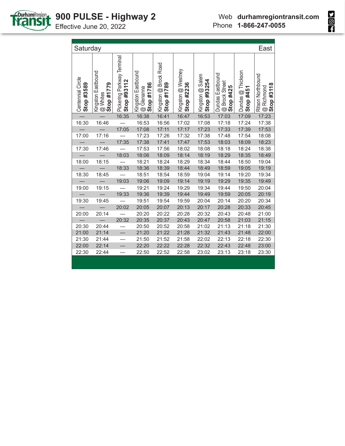

|                   |                            |                                           |                         | Phone                                                |                               | 1-866-247-0055                                    |  |
|-------------------|----------------------------|-------------------------------------------|-------------------------|------------------------------------------------------|-------------------------------|---------------------------------------------------|--|
|                   |                            |                                           |                         |                                                      |                               |                                                   |  |
|                   |                            |                                           |                         |                                                      |                               | East                                              |  |
| 0.41786<br>enanna | ton @ Brock Road<br>0871#1 | iton @ Westney<br>#2236<br>$\overline{a}$ | ston @ Salem<br>52254 c | as Eastbound<br>ock Street<br>#425<br>$\overline{a}$ | as @ Thickson<br><b>14451</b> | n Northbound<br>#3118<br>chmond<br>$\overline{a}$ |  |

| Saturday                        |                                              |                                           |                                                |                                     |                                  |                                 |                                                 |                                | East                                                 |
|---------------------------------|----------------------------------------------|-------------------------------------------|------------------------------------------------|-------------------------------------|----------------------------------|---------------------------------|-------------------------------------------------|--------------------------------|------------------------------------------------------|
| Centennial Circle<br>Stop #3589 | Kingston Eastbound<br>Stop #1779<br>@ Whites | Pickering Parkway Terminal<br>Stop #93112 | Kingston Eastbound<br>Stop #1786<br>@ Glenanna | Kingston @ Brock Road<br>Stop #1789 | Kingston @ Westney<br>Stop #2236 | Kingston @ Salem<br>Stop #93254 | Dundas Eastbound<br>@ Brock Street<br>Stop #425 | Dundas @ Thickson<br>Stop #451 | <b>Ritson Northbound</b><br>Stop #3118<br>@ Richmond |
|                                 |                                              | 16:35                                     | 16:38                                          | 16:41                               | 16:47                            | 16:53                           | 17:03                                           | 17:09                          | 17:23                                                |
| 16:30                           | 16:46                                        |                                           | 16:53                                          | 16:56                               | 17:02                            | 17:08                           | 17:18                                           | 17:24                          | 17:38                                                |
|                                 |                                              | 17:05                                     | 17:08                                          | 17:11                               | 17:17                            | 17:23                           | 17:33                                           | 17:39                          | 17:53                                                |
| 17:00                           | 17:16                                        |                                           | 17:23                                          | 17:26                               | 17:32                            | 17:38                           | 17:48                                           | 17:54                          | 18:08                                                |
|                                 |                                              | 17:35                                     | 17:38                                          | 17:41                               | 17:47                            | 17:53                           | 18:03                                           | 18:09                          | 18:23                                                |
| 17:30                           | 17:46                                        |                                           | 17:53                                          | 17:56                               | 18:02                            | 18:08                           | 18:18                                           | 18:24                          | 18:38                                                |
|                                 |                                              | 18:03                                     | 18:06                                          | 18:09                               | 18:14                            | 18:19                           | 18:29                                           | 18:35                          | 18:49                                                |
| 18:00                           | 18:15                                        |                                           | 18:21                                          | 18:24                               | 18:29                            | 18:34                           | 18:44                                           | 18:50                          | 19:04                                                |
|                                 |                                              | 18:33                                     | 18:36                                          | 18:39                               | 18:44                            | 18:49                           | 18:59                                           | 19:05                          | 19:19                                                |
| 18:30                           | 18:45                                        |                                           | 18:51                                          | 18:54                               | 18:59                            | 19:04                           | 19:14                                           | 19:20                          | 19:34                                                |
|                                 |                                              | 19:03                                     | 19:06                                          | 19:09                               | 19:14                            | 19:19                           | 19:29                                           | 19:35                          | 19:49                                                |
| 19:00                           | 19:15                                        |                                           | 19:21                                          | 19:24                               | 19:29                            | 19:34                           | 19:44                                           | 19:50                          | 20:04                                                |
|                                 |                                              | 19:33                                     | 19:36                                          | 19:39                               | 19:44                            | 19:49                           | 19:59                                           | 20:05                          | 20:19                                                |
| 19:30                           | 19:45                                        |                                           | 19:51                                          | 19:54                               | 19:59                            | 20:04                           | 20:14                                           | 20:20                          | 20:34                                                |
|                                 |                                              | 20:02                                     | 20:05                                          | 20:07                               | 20:13                            | 20:17                           | 20:28                                           | 20:33                          | 20:45                                                |
| 20:00                           | 20:14                                        |                                           | 20:20                                          | 20:22                               | 20:28                            | 20:32                           | 20:43                                           | 20:48                          | 21:00                                                |
|                                 |                                              | 20:32                                     | 20:35                                          | 20:37                               | 20:43                            | 20:47                           | 20:58                                           | 21:03                          | 21:15                                                |
| 20:30                           | 20:44                                        |                                           | 20:50                                          | 20:52                               | 20:58                            | 21:02                           | 21:13                                           | 21:18                          | 21:30                                                |
| 21:00                           | 21:14                                        |                                           | 21:20                                          | 21:22                               | 21:28                            | 21:32                           | 21:43                                           | 21:48                          | 22:00                                                |
| 21:30                           | 21:44                                        |                                           | 21:50                                          | 21:52                               | 21:58                            | 22:02                           | 22:13                                           | 22:18                          | 22:30                                                |
| 22:00                           | 22:14                                        |                                           | 22:20                                          | 22:22                               | 22:28                            | 22:32                           | 22:43                                           | 22:48                          | 23:00                                                |
| 22:30                           | 22:44                                        |                                           | 22:50                                          | 22:52                               | 22:58                            | 23:02                           | 23:13                                           | 23:18                          | 23:30                                                |
|                                 |                                              |                                           |                                                |                                     |                                  |                                 |                                                 |                                |                                                      |

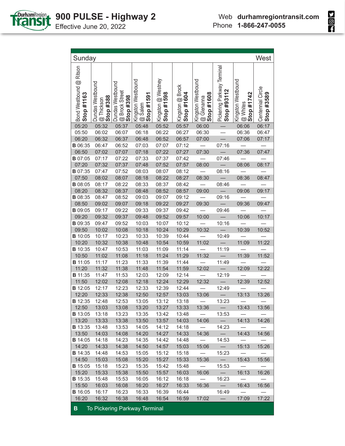

| Sunday                                |                                             |                                                 |                                             |                                  |                                |                                                |                                           |                                              | West                            |
|---------------------------------------|---------------------------------------------|-------------------------------------------------|---------------------------------------------|----------------------------------|--------------------------------|------------------------------------------------|-------------------------------------------|----------------------------------------------|---------------------------------|
| Bond Westbound @ Ritson<br>Stop #1163 | Dundas Westbound<br>@ Thickson<br>Stop #388 | Dundas Westbound<br>@ Brock Street<br>Stop #398 | Kingston Westbound<br>@ Salem<br>Stop #1591 | Kingston @ Westney<br>Stop #1598 | Kingston @ Brock<br>Stop #1604 | Kingston Westbound<br>Stop #1608<br>@ Glenanna | Pickering Parkway Terminal<br>Stop #93112 | Kingston Westbound<br>Stop #1742<br>@ Whites | Centennial Circle<br>Stop #3589 |
| 05:20                                 | 05:32                                       | 05:37                                           | 05:48                                       | 05:52                            | 05:57                          | 06:00                                          |                                           | 06:06                                        | 06:17                           |
| 05:50                                 | 06:02                                       | 06:07                                           | 06:18                                       | 06:22                            | 06:27                          | 06:30                                          |                                           | 06:36                                        | 06:47                           |
| 06:20                                 | 06:32                                       | 06:37                                           | 06:48                                       | 06:52                            | 06:57                          | 07:00                                          |                                           | 07:06                                        | 07:17                           |
| <b>B</b> 06:35                        | 06:47                                       | 06:52                                           | 07:03                                       | 07:07                            | 07:12                          |                                                | 07:16                                     |                                              |                                 |
| 06:50                                 | 07:02                                       | 07:07                                           | 07:18                                       | 07:22                            | 07:27                          | 07:30                                          |                                           | 07:36                                        | 07:47                           |
| <b>B</b> 07:05                        | 07:17                                       | 07:22                                           | 07:33                                       | 07:37                            | 07:42                          |                                                | 07:46                                     |                                              |                                 |
| 07:20                                 | 07:32                                       | 07:37                                           | 07:48                                       | 07:52                            | 07:57                          | 08:00                                          |                                           | 08:06                                        | 08:17                           |
| <b>B</b> 07:35                        | 07:47                                       | 07:52                                           | 08:03                                       | 08:07                            | 08:12                          |                                                | 08:16                                     |                                              |                                 |
| 07:50                                 | 08:02                                       | 08:07                                           | 08:18                                       | 08:22                            | 08:27                          | 08:30                                          |                                           | 08:36                                        | 08:47                           |
| <b>B</b> 08:05                        | 08:17                                       | 08:22                                           | 08:33                                       | 08:37                            | 08:42                          |                                                | 08:46                                     |                                              |                                 |
| 08:20                                 | 08:32                                       | 08:37                                           | 08:48                                       | 08:52                            | 08:57                          | 09:00                                          |                                           | 09:06                                        | 09:17                           |
| <b>B</b> 08:35                        | 08:47                                       | 08:52                                           | 09:03                                       | 09:07                            | 09:12                          |                                                | 09:16                                     |                                              |                                 |
| 08:50                                 | 09:02                                       | 09:07                                           | 09:18                                       | 09:22                            | 09:27                          | 09:30                                          |                                           | 09:36                                        | 09:47                           |
| <b>B</b> 09:05                        | 09:17                                       | 09:22                                           | 09:33                                       | 09:37                            | 09:42                          |                                                | 09:46                                     |                                              |                                 |
| 09:20                                 | 09:32                                       | 09:37                                           | 09:48                                       | 09:52                            | 09:57                          | 10:00                                          |                                           | 10:06                                        | 10:17                           |
| <b>B</b> 09:35                        | 09:47                                       | 09:52                                           | 10:03                                       | 10:07                            | 10:12                          |                                                | 10:16                                     |                                              |                                 |
| 09:50                                 | 10:02                                       | 10:08                                           | 10:18                                       | 10:24                            | 10:29                          | 10:32                                          |                                           | 10:39                                        | 10:52                           |
| <b>B</b> 10:05                        | 10:17                                       | 10:23                                           | 10:33                                       | 10:39                            | 10:44                          |                                                | 10:49                                     |                                              |                                 |
| 10:20                                 | 10:32                                       | 10:38                                           | 10:48                                       | 10:54                            | 10:59                          | 11:02                                          |                                           | 11:09                                        | 11:22                           |
| <b>B</b> 10:35                        | 10:47                                       | 10:53                                           | 11:03                                       | 11:09                            | 11:14                          |                                                | 11:19                                     |                                              |                                 |
| 10:50                                 | 11:02                                       | 11:08                                           | 11:18                                       | 11:24                            | 11:29                          | 11:32                                          |                                           | 11:39                                        | 11:52                           |
| <b>B</b> 11:05                        | 11:17                                       | 11:23                                           | 11:33                                       | 11:39                            | 11:44                          |                                                | 11:49                                     |                                              |                                 |
| 11:20                                 | 11:32                                       | 11:38                                           | 11:48                                       | 11:54                            | 11:59                          | 12:02                                          |                                           | 12:09                                        | 12:22                           |
| <b>B</b> 11:35                        | 11:47                                       | 11:53                                           | 12:03                                       | 12:09                            | 12:14                          |                                                | 12:19                                     |                                              |                                 |
| 11:50                                 | 12:02                                       | 12:08                                           | 12:18                                       | 12:24                            | 12:29                          | 12:32                                          | $\equiv$                                  | 12:39                                        | 12:52                           |
| <b>B</b> 12:05                        | 12:17                                       | 12:23                                           | 12:33                                       | 12:39                            | 12:44                          |                                                | 12:49                                     |                                              |                                 |
| 12:20                                 | 12:33                                       | 12:38                                           | 12:50                                       | 12:57                            | 13:03                          | 13:06                                          |                                           | 13:13                                        | 13:26                           |
| <b>B</b> 12:35                        | 12:48                                       | 12:53                                           | 13:05                                       | 13:12                            | 13:18                          |                                                | 13:23                                     |                                              |                                 |
| 12:50                                 | 13:03                                       | 13:08                                           | 13:20                                       | 13:27                            | 13:33                          | 13:36                                          |                                           | 13:43                                        | 13:56                           |
| <b>B</b> 13:05                        | 13:18                                       | 13:23                                           | 13:35                                       | 13:42                            | 13:48                          | $\overline{\phantom{0}}$                       | 13:53                                     |                                              |                                 |
| 13:20                                 | 13:33                                       | 13:38                                           | 13:50                                       | 13:57                            | 14:03                          | 14:06                                          |                                           | 14:13                                        | 14:26                           |
| <b>B</b> 13:35                        | 13:48                                       | 13:53                                           | 14:05                                       | 14:12                            | 14:18                          | $\overline{\phantom{m}}$                       | 14:23                                     |                                              |                                 |
| 13:50                                 | 14:03                                       | 14:08                                           | 14:20                                       | 14:27                            | 14:33                          | 14:36                                          | $\overline{\phantom{0}}$                  | 14:43                                        | 14:56                           |
| <b>B</b> 14:05<br>14:20               | 14:18<br>14:33                              | 14:23                                           | 14:35                                       | 14:42                            | 14:48                          | $\overline{\phantom{0}}$                       | 14:53<br>$-$                              |                                              |                                 |
|                                       |                                             | 14:38                                           | 14:50                                       | 14:57                            | 15:03                          | 15:06                                          | 15:23                                     | 15:13                                        | 15:26                           |
| <b>B</b> 14:35                        | 14:48                                       | 14:53                                           | 15:05                                       | 15:12                            | 15:18                          |                                                |                                           |                                              |                                 |
| 14:50<br><b>B</b> 15:05               | 15:03<br>15:18                              | 15:08<br>15:23                                  | 15:20<br>15:35                              | 15:27<br>15:42                   | 15:33<br>15:48                 | 15:36<br>$\overline{\phantom{m}}$              | $\overline{\phantom{0}}$<br>15:53         | 15:43                                        | 15:56                           |
| 15:20                                 | 15:33                                       | 15:38                                           | 15:50                                       | 15:57                            |                                | 16:06                                          | $\overline{\phantom{0}}$                  | 16:13                                        |                                 |
| <b>B</b> 15:35                        | 15:48                                       | 15:53                                           | 16:05                                       | 16:12                            | 16:03<br>16:18                 |                                                | 16:23                                     |                                              | 16:26                           |
| 15:50                                 | 16:03                                       | 16:08                                           | 16:20                                       | 16:27                            | 16:33                          | $\overline{\phantom{m}}$<br>16:36              | $\overline{\phantom{0}}$                  | $\overline{\phantom{0}}$<br>16:43            | 16:56                           |
| <b>B</b> 16:05                        | 16:17                                       | 16:23                                           | 16:33                                       | 16:39                            | 16:44                          |                                                | 16:49                                     |                                              |                                 |
| 16:20                                 | 16:32                                       | 16:38                                           | 16:48                                       | 16:54                            | 16:59                          | 17:02                                          | $\qquad \qquad -$                         | 17:09                                        | 17:22                           |
|                                       |                                             |                                                 |                                             |                                  |                                |                                                |                                           |                                              |                                 |
| $\mathbf{B}$                          |                                             |                                                 | To Pickering Parkway Terminal               |                                  |                                |                                                |                                           |                                              |                                 |

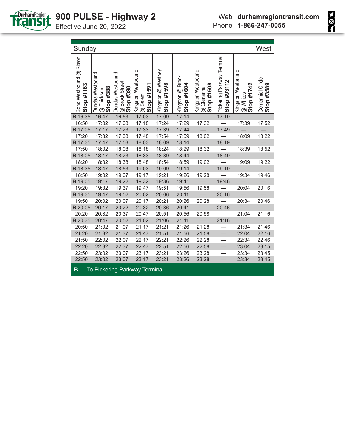

**SOL** 

| Sunday                                |                                            |                                                 |                                             |                                  |                                |                                                |                                           |                                              | West                            |
|---------------------------------------|--------------------------------------------|-------------------------------------------------|---------------------------------------------|----------------------------------|--------------------------------|------------------------------------------------|-------------------------------------------|----------------------------------------------|---------------------------------|
| Bond Westbound @ Ritson<br>Stop #1163 | Dundas Westbound<br>Stop #388<br>@Thickson | Dundas Westbound<br>@ Brock Street<br>Stop #398 | Kingston Westbound<br>Stop #1591<br>@ Salem | Kingston @ Westney<br>Stop #1598 | Kingston @ Brock<br>Stop #1604 | Kingston Westbound<br>Stop #1608<br>@ Glenanna | Pickering Parkway Terminal<br>Stop #93112 | Kingston Westbound<br>Stop #1742<br>@ Whites | Centennial Circle<br>Stop #3589 |
| <b>B</b> 16:35                        | 16:47                                      | 16:53                                           | 17:03                                       | 17:09                            | 17:14                          |                                                | 17:19                                     |                                              |                                 |
| 16:50                                 | 17:02                                      | 17:08                                           | 17:18                                       | 17:24                            | 17:29                          | 17:32                                          |                                           | 17:39                                        | 17:52                           |
| <b>B</b> 17:05                        | 17:17                                      | 17:23                                           | 17:33                                       | 17:39                            | 17:44                          |                                                | 17:49                                     |                                              |                                 |
| 17:20                                 | 17:32                                      | 17:38                                           | 17:48                                       | 17:54                            | 17:59                          | 18:02                                          |                                           | 18:09                                        | 18:22                           |
| <b>B</b> 17:35                        | 17:47                                      | 17:53                                           | 18:03                                       | 18:09                            | 18:14                          |                                                | 18:19                                     |                                              |                                 |
| 17:50                                 | 18:02                                      | 18:08                                           | 18:18                                       | 18:24                            | 18:29                          | 18:32                                          |                                           | 18:39                                        | 18:52                           |
| <b>B</b> 18:05                        | 18:17                                      | 18:23                                           | 18:33                                       | 18:39                            | 18:44                          |                                                | 18:49                                     |                                              |                                 |
| 18:20                                 | 18:32                                      | 18:38                                           | 18:48                                       | 18:54                            | 18:59                          | 19:02                                          |                                           | 19:09                                        | 19:22                           |
| <b>B</b> 18:35                        | 18:47                                      | 18:53                                           | 19:03                                       | 19:09                            | 19:14                          |                                                | 19:19                                     |                                              |                                 |
| 18:50                                 | 19:02                                      | 19:07                                           | 19:17                                       | 19:21                            | 19:26                          | 19:28                                          |                                           | 19:34                                        | 19:46                           |
| <b>B</b> 19:05                        | 19:17                                      | 19:22                                           | 19:32                                       | 19:36                            | 19:41                          |                                                | 19:46                                     |                                              |                                 |
| 19:20                                 | 19:32                                      | 19:37                                           | 19:47                                       | 19:51                            | 19:56                          | 19:58                                          |                                           | 20:04                                        | 20:16                           |
| <b>B</b> 19:35                        | 19:47                                      | 19:52                                           | 20:02                                       | 20:06                            | 20:11                          |                                                | 20:16                                     |                                              |                                 |
| 19:50                                 | 20:02                                      | 20:07                                           | 20:17                                       | 20:21                            | 20:26                          | 20:28                                          |                                           | 20:34                                        | 20:46                           |
| <b>B</b> 20:05                        | 20:17                                      | 20:22                                           | 20:32                                       | 20:36                            | 20:41                          |                                                | 20:46                                     |                                              |                                 |
| 20:20                                 | 20:32                                      | 20:37                                           | 20:47                                       | 20:51                            | 20:56                          | 20:58                                          |                                           | 21:04                                        | 21:16                           |
| <b>B</b> 20:35                        | 20:47                                      | 20:52                                           | 21:02                                       | 21:06                            | 21:11                          |                                                | 21:16                                     |                                              |                                 |
| 20:50                                 | 21:02                                      | 21:07                                           | 21:17                                       | 21:21                            | 21:26                          | 21:28                                          |                                           | 21:34                                        | 21:46                           |
| 21:20                                 | 21:32                                      | 21:37                                           | 21:47                                       | 21:51                            | 21:56                          | 21:58                                          |                                           | 22:04                                        | 22:16                           |
| 21:50                                 | 22:02                                      | 22:07                                           | 22:17                                       | 22:21                            | 22:26                          | 22:28                                          |                                           | 22:34                                        | 22:46                           |
| 22:20                                 | 22:32                                      | 22:37                                           | 22:47                                       | 22:51                            | 22:56                          | 22:58                                          |                                           | 23:04                                        | 23:15                           |
| 22:50                                 | 23:02                                      | 23:07                                           | 23:17                                       | 23:21                            | 23:26                          | 23:28                                          |                                           | 23:34                                        | 23:45                           |
| 22:50                                 | 23:02                                      | 23:07                                           | 23:17                                       | 23:21                            | 23:26                          | 23:28                                          |                                           | 23:34                                        | 23:45                           |
| в                                     |                                            |                                                 | <b>To Pickering Parkway Terminal</b>        |                                  |                                |                                                |                                           |                                              |                                 |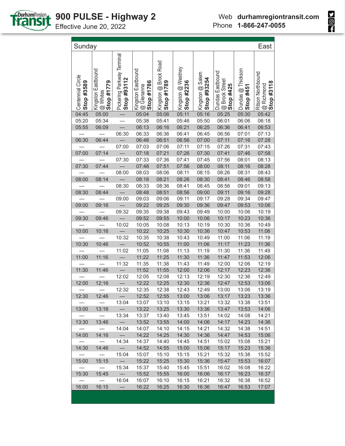

| Sunday                          |                                              |                                           |                                                |                                     |                                  |                                 |                                                        |                                | East                                          |
|---------------------------------|----------------------------------------------|-------------------------------------------|------------------------------------------------|-------------------------------------|----------------------------------|---------------------------------|--------------------------------------------------------|--------------------------------|-----------------------------------------------|
| Centennial Circle<br>Stop #3589 | Kingston Eastbound<br>Stop #1779<br>@ Whites | Pickering Parkway Terminal<br>Stop #93112 | Kingston Eastbound<br>Stop #1786<br>@ Glenanna | Kingston @ Brock Road<br>Stop #1789 | Kingston @ Westney<br>Stop #2236 | Kingston @ Salem<br>Stop #93254 | Dundas Eastbound<br><b>@ Brock Street</b><br>Stop #425 | Dundas @ Thickson<br>Stop #451 | Ritson Northbound<br>Stop #3118<br>@ Richmond |
| 04:45                           | 05:00                                        |                                           | 05:04                                          | 05:06                               | 05:11                            | 05:16                           | 05:25                                                  | 05:30                          | 05:42                                         |
| 05:20                           | 05:34                                        |                                           | 05:38                                          | 05:41                               | 05:46                            | 05:50                           | 06:01                                                  | 06:06                          | 06:18                                         |
| 05:55                           | 06:09                                        |                                           | 06:13                                          | 06:16                               | 06:21                            | 06:25                           | 06:36                                                  | 06:41                          | 06:53                                         |
|                                 |                                              | 06:30                                     | 06:33                                          | 06:36                               | 06:41                            | 06:45                           | 06:56                                                  | 07:01                          | 07:13                                         |
| 06:30                           | 06:44                                        | $\overline{\phantom{0}}$                  | 06:48                                          | 06:51                               | 06:56                            | 07:00                           | 07:11                                                  | 07:16                          | 07:28                                         |
|                                 |                                              | 07:00                                     | 07:03                                          | 07:06                               | 07:11                            | 07:15                           | 07:26                                                  | 07:31                          | 07:43                                         |
| 07:00                           | 07:14                                        |                                           | 07:18                                          | 07:21                               | 07:26                            | 07:30                           | 07:41                                                  | 07:46                          | 07:58                                         |
|                                 |                                              | 07:30                                     | 07:33                                          | 07:36                               | 07:41                            | 07:45                           | 07:56                                                  | 08:01                          | 08:13                                         |
| 07:30                           | 07:44                                        | $\overline{\phantom{0}}$                  | 07:48                                          | 07:51                               | 07:56                            | 08:00                           | 08:11                                                  | 08:16                          | 08:28                                         |
|                                 |                                              | 08:00                                     | 08:03                                          | 08:06                               | 08:11                            | 08:15                           | 08:26                                                  | 08:31                          | 08:43                                         |
| 08:00                           | 08:14                                        |                                           | 08:18                                          | 08:21                               | 08:26                            | 08:30                           | 08:41                                                  | 08:46                          | 08:58                                         |
|                                 |                                              | 08:30                                     | 08:33                                          | 08:36                               | 08:41                            | 08:45                           | 08:56                                                  | 09:01                          | 09:13                                         |
| 08:30                           | 08:44                                        |                                           | 08:48                                          | 08:51                               | 08:56                            | 09:00                           | 09:11                                                  | 09:16                          | 09:28                                         |
|                                 |                                              | 09:00                                     | 09:03                                          | 09:06                               | 09:11                            | 09:17                           | 09:28                                                  | 09:34                          | 09:47                                         |
| 09:00                           | 09:16                                        |                                           | 09:22                                          | 09:25                               | 09:30                            | 09:36                           | 09:47                                                  | 09:53                          | 10:06                                         |
|                                 |                                              | 09:32                                     | 09:35                                          | 09:38                               | 09:43                            | 09:49                           | 10:00                                                  | 10:06                          | 10:19                                         |
| 09:30                           | 09:46                                        |                                           | 09:52                                          | 09:55                               | 10:00                            | 10:06                           | 10:17                                                  | 10:23                          | 10:36                                         |
|                                 |                                              | 10:02                                     | 10:05                                          | 10:08                               | 10:13                            | 10:19                           | 10:30                                                  | 10:36                          | 10:49                                         |
| 10:00                           | 10:16                                        | $\frac{1}{2}$                             | 10:22                                          | 10:25                               | 10:30                            | 10:36                           | 10:47                                                  | 10:53                          | 11:06                                         |
|                                 |                                              | 10:32                                     | 10:35                                          | 10:38                               | 10:43                            | 10:49                           | 11:00                                                  | 11:06                          | 11:19                                         |
| 10:30                           | 10:46                                        | $\overline{\phantom{m}}$                  | 10:52                                          | 10:55                               | 11:00                            | 11:06                           | 11:17                                                  | 11:23                          | 11:36                                         |
|                                 |                                              | 11:02                                     | 11:05                                          | 11:08                               | 11:13                            | 11:19                           | 11:30                                                  | 11:36                          | 11:49                                         |
| 11:00                           | 11:16                                        | $\overline{\phantom{0}}$                  | 11:22                                          | 11:25                               | 11:30                            | 11:36                           | 11:47                                                  | 11:53                          | 12:06                                         |
|                                 |                                              | 11:32                                     | 11:35                                          | 11:38                               | 11:43                            | 11:49                           | 12:00                                                  | 12:06                          | 12:19                                         |
| 11:30                           | 11:46                                        |                                           | 11:52                                          | 11:55                               | 12:00                            | 12:06                           | 12:17                                                  | 12:23                          | 12:36                                         |
|                                 |                                              | 12:02                                     | 12:05                                          | 12:08                               | 12:13                            | 12:19                           | 12:30                                                  | 12:36                          | 12:49                                         |
| 12:00                           | 12:16                                        |                                           | 12:22                                          | 12:25                               | 12:30                            | 12:36                           | 12:47                                                  | 12:53                          | 13:06                                         |
|                                 |                                              | 12:32                                     | 12:35                                          | 12:38                               | 12:43                            | 12:49                           | 13:00                                                  | 13:06                          | 13:19                                         |
| 12:30                           | 12:46                                        |                                           | 12:52                                          | 12:55                               | 13:00                            | 13:06                           | 13:17                                                  | 13:23                          | 13:36                                         |
|                                 | $\overbrace{\phantom{123221111}}$            | 13:04                                     | 13:07                                          | 13:10                               | 13:15                            | 13:21                           | 13:32                                                  | 13:38                          | 13:51                                         |
| 13:00                           | 13:16                                        | $\qquad \qquad -$                         | 13:22                                          | 13:25                               | 13:30                            | 13:36                           | 13:47                                                  | 13:53                          | 14:06                                         |
|                                 |                                              | 13:34                                     | 13:37                                          | 13:40                               | 13:45                            | 13:51                           | 14:02                                                  | 14:08                          | 14:21                                         |
| 13:30                           | 13:46                                        | $\overline{\phantom{m}}$                  | 13:52                                          | 13:55                               | 14:00                            | 14:06                           | 14:17                                                  | 14:23                          | 14:36                                         |
|                                 |                                              | 14:04                                     | 14:07                                          | 14:10                               | 14:15                            | 14:21                           | 14:32                                                  | 14:38                          | 14:51                                         |
| 14:00                           | 14:16                                        | $\overline{\phantom{0}}$                  | 14:22                                          | 14:25                               | 14:30                            | 14:36                           | 14:47                                                  | 14:53                          | 15:06                                         |
|                                 |                                              | 14:34                                     | 14:37                                          | 14:40                               | 14:45                            | 14:51                           | 15:02                                                  | 15:08                          | 15:21                                         |
| 14:30                           | 14:46                                        |                                           | 14:52                                          | 14:55                               | 15:00                            | 15:06                           | 15:17                                                  | 15:23                          | 15:36                                         |
|                                 |                                              | 15:04                                     | 15:07                                          | 15:10                               | 15:15                            | 15:21                           | 15:32                                                  | 15:38                          | 15:52                                         |
| 15:00                           | 15:15                                        |                                           | 15:22                                          | 15:25                               | 15:30                            | 15:36                           | 15:47                                                  | 15:53                          | 16:07                                         |
|                                 |                                              | 15:34                                     | 15:37                                          | 15:40                               | 15:45                            | 15:51                           | 16:02                                                  | 16:08                          | 16:22                                         |
| 15:30                           | 15:45                                        |                                           | 15:52                                          | 15:55                               | 16:00                            | 16:06                           | 16:17                                                  | 16:23                          | 16:37                                         |
|                                 |                                              | 16:04                                     | 16:07                                          | 16:10                               | 16:15                            | 16:21                           | 16:32                                                  | 16:38                          | 16:52                                         |
| 16:00                           | 16:15                                        | $\overline{\phantom{0}}$                  | 16:22                                          | 16:25                               | 16:30                            | 16:36                           | 16:47                                                  | 16:53                          | 17:07                                         |
|                                 |                                              |                                           |                                                |                                     |                                  |                                 |                                                        |                                |                                               |